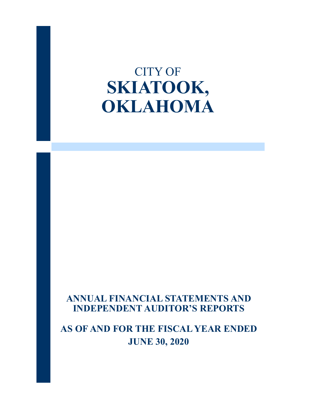CITY OF **SKIATOOK, OKLAHOMA** 

## **ANNUAL FINANCIAL STATEMENTS AND INDEPENDENT AUDITOR'S REPORTS**

**AS OF AND FOR THE FISCAL YEAR ENDED JUNE 30, 2020**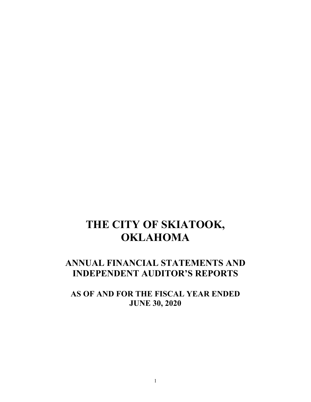# **THE CITY OF SKIATOOK, OKLAHOMA**

## **ANNUAL FINANCIAL STATEMENTS AND INDEPENDENT AUDITOR'S REPORTS**

**AS OF AND FOR THE FISCAL YEAR ENDED JUNE 30, 2020**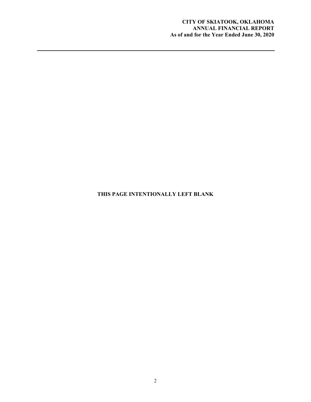### **THIS PAGE INTENTIONALLY LEFT BLANK**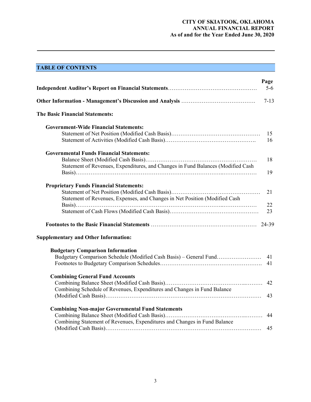| <b>TABLE OF CONTENTS</b>                                                         |          |
|----------------------------------------------------------------------------------|----------|
|                                                                                  | Page     |
|                                                                                  | $5-6$    |
|                                                                                  | $7 - 13$ |
| <b>The Basic Financial Statements:</b>                                           |          |
| <b>Government-Wide Financial Statements:</b>                                     |          |
|                                                                                  | 15<br>16 |
| <b>Governmental Funds Financial Statements:</b>                                  |          |
| Statement of Revenues, Expenditures, and Changes in Fund Balances (Modified Cash | 18       |
|                                                                                  | 19       |
| <b>Proprietary Funds Financial Statements:</b>                                   |          |
|                                                                                  | 21       |
| Statement of Revenues, Expenses, and Changes in Net Position (Modified Cash      | 22       |
|                                                                                  | 23       |
|                                                                                  |          |
| <b>Supplementary and Other Information:</b>                                      |          |
| <b>Budgetary Comparison Information</b>                                          |          |
| Budgetary Comparison Schedule (Modified Cash Basis) – General Fund               | 41       |
|                                                                                  | 41       |
| <b>Combining General Fund Accounts</b>                                           |          |
| Combining Schedule of Revenues, Expenditures and Changes in Fund Balance         | 42       |
|                                                                                  | 43       |
| <b>Combining Non-major Governmental Fund Statements</b>                          |          |
|                                                                                  | 44       |
| Combining Statement of Revenues, Expenditures and Changes in Fund Balance        | 45       |
|                                                                                  |          |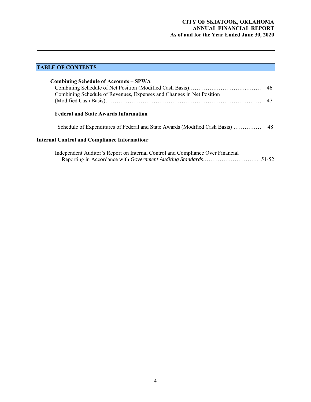#### **TABLE OF CONTENTS**

l

| <b>Combining Schedule of Accounts – SPWA</b><br>Combining Schedule of Revenues, Expenses and Changes in Net Position | 47 |
|----------------------------------------------------------------------------------------------------------------------|----|
| <b>Federal and State Awards Information</b>                                                                          |    |
| Schedule of Expenditures of Federal and State Awards (Modified Cash Basis)                                           | 48 |
| <b>Internal Control and Compliance Information:</b>                                                                  |    |
| Independent Auditor's Report on Internal Control and Compliance Over Financial                                       |    |

Reporting in Accordance with *Government Auditing Standards*………………………… 51-52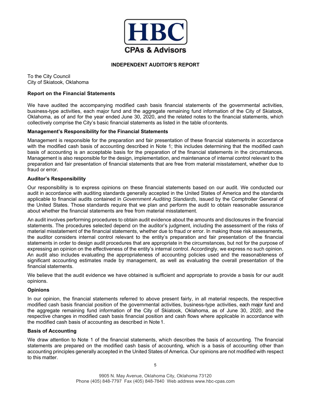

#### **INDEPENDENT AUDITOR'S REPORT**

To the City Council City of Skiatook, Oklahoma

#### **Report on the Financial Statements**

We have audited the accompanying modified cash basis financial statements of the governmental activities, business-type activities, each major fund and the aggregate remaining fund information of the City of Skiatook, Oklahoma, as of and for the year ended June 30, 2020, and the related notes to the financial statements, which collectively comprise the City's basic financial statements as listed in the table of contents.

#### **Management's Responsibility for the Financial Statements**

Management is responsible for the preparation and fair presentation of these financial statements in accordance with the modified cash basis of accounting described in Note 1; this includes determining that the modified cash basis of accounting is an acceptable basis for the preparation of the financial statements in the circumstances. Management is also responsible for the design, implementation, and maintenance of internal control relevant to the preparation and fair presentation of financial statements that are free from material misstatement, whether due to fraud or error.

#### **Auditor's Responsibility**

Our responsibility is to express opinions on these financial statements based on our audit. We conducted our audit in accordance with auditing standards generally accepted in the United States of America and the standards applicable to financial audits contained in *Government Auditing Standards*, issued by the Comptroller General of the United States. Those standards require that we plan and perform the audit to obtain reasonable assurance about whether the financial statements are free from material misstatement.

An audit involves performing procedures to obtain audit evidence about the amounts and disclosures in the financial statements. The procedures selected depend on the auditor's judgment, including the assessment of the risks of material misstatement of the financial statements, whether due to fraud or error. In making those risk assessments, the auditor considers internal control relevant to the entity's preparation and fair presentation of the financial statements in order to design audit procedures that are appropriate in the circumstances, but not for the purpose of expressing an opinion on the effectiveness of the entity's internal control. Accordingly, we express no such opinion. An audit also includes evaluating the appropriateness of accounting policies used and the reasonableness of significant accounting estimates made by management, as well as evaluating the overall presentation of the financial statements.

We believe that the audit evidence we have obtained is sufficient and appropriate to provide a basis for our audit opinions.

#### **Opinions**

In our opinion, the financial statements referred to above present fairly, in all material respects, the respective modified cash basis financial position of the governmental activities, business-type activities, each major fund and the aggregate remaining fund information of the City of Skiatook, Oklahoma, as of June 30, 2020, and the respective changes in modified cash basis financial position and cash flows where applicable in accordance with the modified cash basis of accounting as described in Note 1.

#### **Basis of Accounting**

We draw attention to Note 1 of the financial statements, which describes the basis of accounting. The financial statements are prepared on the modified cash basis of accounting, which is a basis of accounting other than accounting principles generally accepted in the United States of America. Our opinions are not modified with respect to this matter.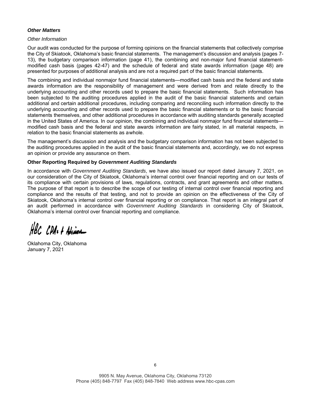#### *Other Matters*

#### *Other Information*

Our audit was conducted for the purpose of forming opinions on the financial statements that collectively comprise the City of Skiatook, Oklahoma's basic financial statements. The management's discussion and analysis (pages 7- 13), the budgetary comparison information (page 41), the combining and non-major fund financial statementmodified cash basis (pages 42-47) and the schedule of federal and state awards information (page 48) are presented for purposes of additional analysis and are not a required part of the basic financial statements.

The combining and individual nonmajor fund financial statements—modified cash basis and the federal and state awards information are the responsibility of management and were derived from and relate directly to the underlying accounting and other records used to prepare the basic financial statements. Such information has been subjected to the auditing procedures applied in the audit of the basic financial statements and certain additional and certain additional procedures, including comparing and reconciling such information directly to the underlying accounting and other records used to prepare the basic financial statements or to the basic financial statements themselves, and other additional procedures in accordance with auditing standards generally accepted in the United States of America. In our opinion, the combining and individual nonmajor fund financial statements modified cash basis and the federal and state awards information are fairly stated, in all material respects, in relation to the basic financial statements as a whole.

The management's discussion and analysis and the budgetary comparison information has not been subjected to the auditing procedures applied in the audit of the basic financial statements and, accordingly, we do not express an opinion or provide any assurance on them.

#### **Other Reporting Required by** *Government Auditing Standards*

In accordance with *Government Auditing Standards*, we have also issued our report dated January 7, 2021, on our consideration of the City of Skiatook, Oklahoma's internal control over financial reporting and on our tests of its compliance with certain provisions of laws, regulations, contracts, and grant agreements and other matters. The purpose of that report is to describe the scope of our testing of internal control over financial reporting and compliance and the results of that testing, and not to provide an opinion on the effectiveness of the City of Skiatook, Oklahoma's internal control over financial reporting or on compliance. That report is an integral part of an audit performed in accordance with *Government Auditing Standards* in considering City of Skiatook, Oklahoma's internal control over financial reporting and compliance.

HBC CDAS & Advisor

Oklahoma City, Oklahoma January 7, 2021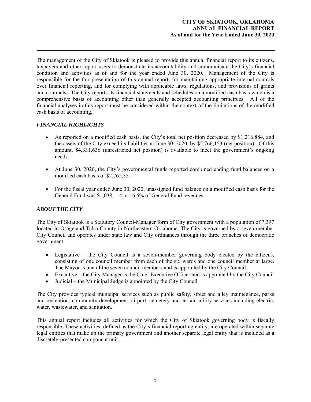The management of the City of Skiatook is pleased to provide this annual financial report to its citizens, taxpayers and other report users to demonstrate its accountability and communicate the City's financial condition and activities as of and for the year ended June 30, 2020. Management of the City is responsible for the fair presentation of this annual report, for maintaining appropriate internal controls over financial reporting, and for complying with applicable laws, regulations, and provisions of grants and contracts. The City reports its financial statements and schedules on a modified cash basis which is a comprehensive basis of accounting other than generally accepted accounting principles. All of the financial analyses in this report must be considered within the context of the limitations of the modified cash basis of accounting.

### *FINANCIAL HIGHLIGHTS*

l

- As reported on a modified cash basis, the City's total net position decreased by \$1,216,884, and the assets of the City exceed its liabilities at June 30, 2020, by \$5,766,153 (net position). Of this amount, \$4,331,636 (unrestricted net position) is available to meet the government's ongoing needs.
- At June 30, 2020, the City's governmental funds reported combined ending fund balances on a modified cash basis of \$2,762,351.
- For the fiscal year ended June 30, 2020, unassigned fund balance on a modified cash basis for the General Fund was \$1,038,114 or 16.5% of General Fund revenues.

## *ABOUT THE CITY*

The City of Skiatook is a Statutory Council-Manager form of City government with a population of 7,397 located in Osage and Tulsa County in Northeastern Oklahoma. The City is governed by a seven-member City Council and operates under state law and City ordinances through the three branches of democratic government:

- Legislative the City Council is a seven-member governing body elected by the citizens, consisting of one council member from each of the six wards and one council member at large. The Mayor is one of the seven council members and is appointed by the City Council.
- Executive the City Manager is the Chief Executive Officer and is appointed by the City Council
- Judicial the Municipal Judge is appointed by the City Council

The City provides typical municipal services such as public safety, street and alley maintenance, parks and recreation, community development, airport, cemetery and certain utility services including electric, water, wastewater, and sanitation.

This annual report includes all activities for which the City of Skiatook governing body is fiscally responsible. These activities, defined as the City's financial reporting entity, are operated within separate legal entities that make up the primary government and another separate legal entity that is included as a discretely-presented component unit.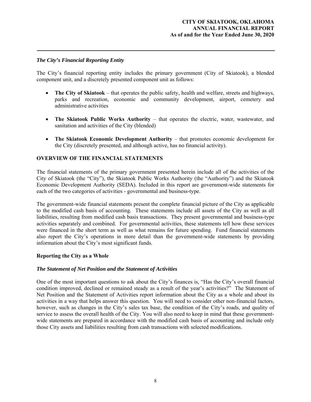#### *The City's Financial Reporting Entity*

l

The City's financial reporting entity includes the primary government (City of Skiatook), a blended component unit, and a discretely presented component unit as follows:

- **The City of Skiatook** that operates the public safety, health and welfare, streets and highways, parks and recreation, economic and community development, airport, cemetery and administrative activities
- **The Skiatook Public Works Authority** that operates the electric, water, wastewater, and sanitation and activities of the City (blended)
- The Skiatook Economic Development Authority that promotes economic development for the City (discretely presented, and although active, has no financial activity).

#### **OVERVIEW OF THE FINANCIAL STATEMENTS**

The financial statements of the primary government presented herein include all of the activities of the City of Skiatook (the "City"), the Skiatook Public Works Authority (the "Authority") and the Skiatook Economic Development Authority (SEDA). Included in this report are government-wide statements for each of the two categories of activities - governmental and business-type.

The government-wide financial statements present the complete financial picture of the City as applicable to the modified cash basis of accounting. These statements include all assets of the City as well as all liabilities, resulting from modified cash basis transactions. They present governmental and business-type activities separately and combined. For governmental activities, these statements tell how these services were financed in the short term as well as what remains for future spending. Fund financial statements also report the City's operations in more detail than the government-wide statements by providing information about the City's most significant funds.

#### **Reporting the City as a Whole**

#### *The Statement of Net Position and the Statement of Activities*

One of the most important questions to ask about the City's finances is, "Has the City's overall financial condition improved, declined or remained steady as a result of the year's activities?" The Statement of Net Position and the Statement of Activities report information about the City as a whole and about its activities in a way that helps answer this question. You will need to consider other non-financial factors, however, such as changes in the City's sales tax base, the condition of the City's roads, and quality of service to assess the overall health of the City. You will also need to keep in mind that these governmentwide statements are prepared in accordance with the modified cash basis of accounting and include only those City assets and liabilities resulting from cash transactions with selected modifications.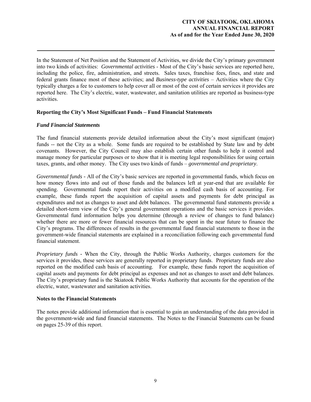In the Statement of Net Position and the Statement of Activities, we divide the City's primary government into two kinds of activities: *Governmental activities* - Most of the City's basic services are reported here, including the police, fire, administration, and streets. Sales taxes, franchise fees, fines, and state and federal grants finance most of these activities; and *Business-type activities* – Activities where the City typically charges a fee to customers to help cover all or most of the cost of certain services it provides are reported here. The City's electric, water, wastewater, and sanitation utilities are reported as business-type activities.

#### **Reporting the City's Most Significant Funds – Fund Financial Statements**

#### *Fund Financial Statements*

l

The fund financial statements provide detailed information about the City's most significant (major) funds -- not the City as a whole. Some funds are required to be established by State law and by debt covenants. However, the City Council may also establish certain other funds to help it control and manage money for particular purposes or to show that it is meeting legal responsibilities for using certain taxes, grants, and other money. The City uses two kinds of funds – *governmental and proprietary*.

*Governmental funds -* All of the City's basic services are reported in governmental funds, which focus on how money flows into and out of those funds and the balances left at year-end that are available for spending. Governmental funds report their activities on a modified cash basis of accounting. For example, these funds report the acquisition of capital assets and payments for debt principal as expenditures and not as changes to asset and debt balances. The governmental fund statements provide a detailed short-term view of the City's general government operations and the basic services it provides. Governmental fund information helps you determine (through a review of changes to fund balance) whether there are more or fewer financial resources that can be spent in the near future to finance the City's programs. The differences of results in the governmental fund financial statements to those in the government-wide financial statements are explained in a reconciliation following each governmental fund financial statement.

*Proprietary funds -* When the City, through the Public Works Authority, charges customers for the services it provides, these services are generally reported in proprietary funds. Proprietary funds are also reported on the modified cash basis of accounting. For example, these funds report the acquisition of capital assets and payments for debt principal as expenses and not as changes to asset and debt balances. The City's proprietary fund is the Skiatook Public Works Authority that accounts for the operation of the electric, water, wastewater and sanitation activities.

#### **Notes to the Financial Statements**

The notes provide additional information that is essential to gain an understanding of the data provided in the government-wide and fund financial statements. The Notes to the Financial Statements can be found on pages 25-39 of this report.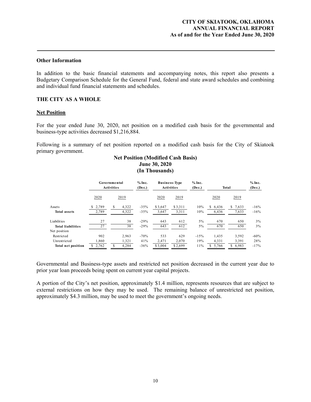#### **Other Information**

l

In addition to the basic financial statements and accompanying notes, this report also presents a Budgetary Comparison Schedule for the General Fund, federal and state award schedules and combining and individual fund financial statements and schedules.

#### **THE CITY AS A WHOLE**

#### **Net Position**

For the year ended June 30, 2020, net position on a modified cash basis for the governmental and business-type activities decreased \$1,216,884.

Following is a summary of net position reported on a modified cash basis for the City of Skiatook primary government.

#### **Net Position (Modified Cash Basis) June 30, 2020 (In Thousands)**

|                      |                     | $%$ Inc.<br>(Dec.)                                    |                  |                  | $%$ Inc.<br>(Dec.)                                   |                  |                  | $%$ Inc.<br>(Dec.)      |
|----------------------|---------------------|-------------------------------------------------------|------------------|------------------|------------------------------------------------------|------------------|------------------|-------------------------|
| 2020                 | 2019                |                                                       | 2020             | 2019             |                                                      | 2020             | 2019             |                         |
| 2,789<br>S.<br>2,789 | S<br>4,322<br>4,322 | $-35%$<br>$-35%$                                      | \$3.647<br>3,647 | \$3,311<br>3,311 | 10%<br>10%                                           | \$6,436<br>6,436 | \$7,633<br>7,633 | $-16%$<br>$-16%$        |
| 27<br>27             | 38<br>38            | $-29%$<br>$-29%$                                      | 643<br>643       | 612<br>612       | 5%<br>$5\%$                                          | 670<br>670       | 650<br>650       | 3%<br>3%                |
| 902<br>1,860         | 2,963<br>1,321      | $-70%$<br>41%                                         | 533<br>2,471     | 629<br>2,070     | $-15%$<br>19%                                        | 1,435<br>4,331   | 3,592<br>3,391   | $-60%$<br>28%<br>$-17%$ |
|                      |                     | Governmental<br><b>Activities</b><br>\$2,762<br>4,284 | $-36%$           | \$3,004          | <b>Business-Type</b><br><b>Activities</b><br>\$2,699 | 11%              | 5.766            | Total<br>\$6,983        |

Governmental and Business-type assets and restricted net position decreased in the current year due to prior year loan proceeds being spent on current year capital projects.

A portion of the City's net position, approximately \$1.4 million, represents resources that are subject to external restrictions on how they may be used. The remaining balance of unrestricted net position, approximately \$4.3 million, may be used to meet the government's ongoing needs.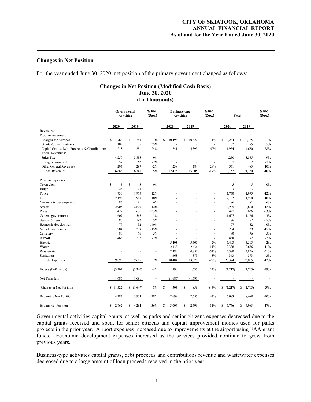#### **Changes in Net Position**

l

For the year ended June 30, 2020, net position of the primary government changed as follows:

#### **Changes in Net Position (Modified Cash Basis) June 30, 2020 (In Thousands)**

|                                               |             | Governmental<br><b>Activities</b> |             | $%$ Inc.<br>(Dec.) |    | <b>Business-type</b><br>Activities |    |         | $%$ Inc.<br>(Dec.) |             | Total       | $%$ Inc.<br>(Dec.) |
|-----------------------------------------------|-------------|-----------------------------------|-------------|--------------------|----|------------------------------------|----|---------|--------------------|-------------|-------------|--------------------|
|                                               |             | 2020                              | 2019        |                    |    | 2020                               |    | 2019    |                    | 2020        | 2019        |                    |
| Revenues:                                     |             |                                   |             |                    |    |                                    |    |         |                    |             |             |                    |
| Program revenues:                             |             |                                   |             |                    |    |                                    |    |         |                    |             |             |                    |
| Charges for Services                          | \$          | 1,768                             | \$<br>1,743 | $1\%$              | \$ | 10,496                             | \$ | 10,422  | $1\%$              | \$12,264    | \$12,165    | $1\%$              |
| Grants & Contributions                        |             | 102                               | 75          | 35%                |    |                                    |    |         |                    | 102         | 75          | 35%                |
| Capital Grants, Debt Proceeds & Contributions |             | 213                               | 281         | $-24%$             |    | 1,741                              |    | 4,399   | $-60%$             | 1,954       | 4,680       | $-58%$             |
| General Revenues:                             |             |                                   |             |                    |    |                                    |    |         |                    |             |             |                    |
| Sales Tax                                     |             | 4,250                             | 3,885       | 9%                 |    | ä,                                 |    | ٠       | ÷,                 | 4,250       | 3,885       | 9%                 |
| Intergovernmental                             |             | 57                                | 62          | $-7%$              |    |                                    |    |         |                    | 57          | 62          | $-7%$              |
| Other General Revenues                        |             | 293                               | 299         | $-2\%$             |    | 238                                |    | 184     | 29%                | 531         | 483         | 10%                |
| <b>Total Revenues</b>                         |             | 6,683                             | 6,345       | 5%                 |    | 12,475                             |    | 15,005  | $-17%$             | 19,157      | 21,350      | $-10%$             |
| Program Expenses:                             |             |                                   |             |                    |    |                                    |    |         |                    |             |             |                    |
| Town clerk                                    | $\mathbf S$ | 5                                 | \$<br>5     | 0%                 |    |                                    |    |         |                    | 5           | 5           | $0\%$              |
| Judge                                         |             | 23                                | 23          | ÷,                 |    |                                    |    |         |                    | 23          | 23          |                    |
| Police                                        |             | 1,730                             | 1,975       | $-12%$             |    |                                    |    |         |                    | 1,730       | 1,975       | $-12%$             |
| Fire                                          |             | 2,192                             | 1,988       | 10%                |    |                                    |    |         |                    | 2,192       | 1,988       | 10%                |
| Community development                         |             | 86                                | 81          | 6%                 |    |                                    |    |         |                    | 86          | 81          | 6%                 |
| <b>Streets</b>                                |             | 2,905                             | 2,600       | 12%                |    |                                    |    |         |                    | 2,905       | 2,600       | 12%                |
| Parks                                         |             | 427                               | 636         | $-33%$             |    |                                    |    |         | ٠                  | 427         | 636         | $-33%$             |
| General government                            |             | 1,607                             | 1,566       | 3%                 |    |                                    |    |         |                    | 1,607       | 1,566       | 3%                 |
| Senior Citizens                               |             | 86                                | 192         | $-55%$             |    |                                    |    |         |                    | 86          | 192         | $-55%$             |
| Economic development                          |             | 77                                | 32          | 140%               |    |                                    |    |         |                    | 77          | 32          | 140%               |
| Vehicle maintenance                           |             | 204                               | 239         | $-15%$             |    |                                    |    |         | $\overline{a}$     | 204         | 239         | $-15%$             |
| Cemetery                                      |             | 80                                | 76          | $5\%$              |    |                                    |    |         |                    | 80          | 76          | 5%                 |
| Airport                                       |             | 468                               | 272         | 72%                |    |                                    |    |         |                    | 468         | 272         | 72%                |
| Electric                                      |             | ÷                                 | ÷           | ä,                 |    | 5,403                              |    | 5,505   | $-2\%$             | 5,403       | 5,505       | $-2%$              |
| Water                                         |             |                                   |             | $\overline{a}$     |    | 2,338                              |    | 2,636   | $-11%$             | 2,338       | 2,636       | $-11%$             |
| Wastewater                                    |             |                                   |             | ä,                 |    | 2,380                              |    | 4,856   | $-51%$             | 2,380       | 4,856       | $-51%$             |
| Sanitation                                    |             |                                   |             |                    |    | 363                                |    | 373     | $-3%$              | 363         | 373         | $-3%$              |
| <b>Total Expenses</b>                         |             | 9.890                             | 9,685       | 2%                 |    | 10,484                             |    | 13,370  | $-22%$             | 20,374      | 23,055      | $-12%$             |
| Excess (Deficiency)                           |             | (3,207)                           | (3,340)     | $-4%$              |    | 1,990                              |    | 1,635   | 22%                | (1,217)     | (1,705)     | $-29%$             |
| Net Transfers                                 |             | 1,685                             | 1,691       |                    |    | (1,685)                            |    | (1,691) |                    |             |             |                    |
| Change in Net Position                        |             | (1,522)                           | (1,649)     | $-8%$              | \$ | 305                                | \$ | (56)    | $-645%$            | (1,217)     | (1,705)     | $-29%$             |
| Beginning Net Position                        |             | 4,284                             | 5,933       | $-28%$             |    | 2,699                              |    | 2,755   | $-2\%$             | 6,983       | 8,688       | $-20%$             |
| <b>Ending Net Position</b>                    | S.          | 2,762                             | \$<br>4,284 | $-36%$             | S  | 3.004                              | S  | 2,699   | 11%                | 5,766<br>\$ | 6,983<br>\$ | $-17%$             |

Governmental activities capital grants, as well as parks and senior citizens expenses decreased due to the capital grants received and spent for senior citizens and capital improvement monies used for parks projects in the prior year. Airport expenses increased due to improvements at the airport using FAA grant funds. Economic development expenses increased as the services provided continue to grow from previous years.

Business-type activities capital grants, debt proceeds and contributions revenue and wastewater expenses decreased due to a large amount of loan proceeds received in the prior year.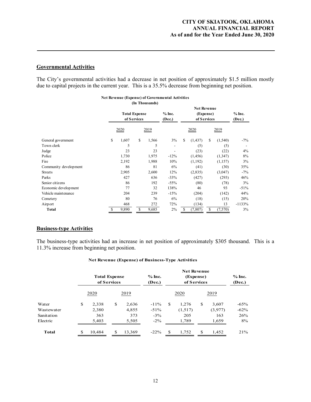#### **Governmental Activities**

l

The City's governmental activities had a decrease in net position of approximately \$1.5 million mostly due to capital projects in the current year. This is a 35.5% decrease from beginning net position.

|                       |                      |             | (In Thousands) | <b>Net Revenue (Expense) of Governmental Activities</b> |                                                |               |         |                    |
|-----------------------|----------------------|-------------|----------------|---------------------------------------------------------|------------------------------------------------|---------------|---------|--------------------|
|                       | <b>Total Expense</b> | of Services |                | $%$ Inc.<br>(Dec.)                                      | <b>Net Revenue</b><br>(Expense)<br>of Services |               |         | $%$ Inc.<br>(Dec.) |
|                       | 2020                 |             | 2019           |                                                         | 2020                                           |               | 2019    |                    |
| General government    | \$<br>1,607          | \$          | 1,566          | 3%                                                      | \$<br>(1, 437)                                 | <sup>\$</sup> | (1,540) | $-7\%$             |
| Town clerk            | 5                    |             | 5              | $\qquad \qquad \blacksquare$                            | (5)                                            |               | (5)     |                    |
| Judge                 | 23                   |             | 23             |                                                         | (23)                                           |               | (22)    | 4%                 |
| Police                | 1,730                |             | 1,975          | $-12%$                                                  | (1, 456)                                       |               | (1,347) | 8%                 |
| Fire                  | 2,192                |             | 1,988          | 10%                                                     | (1,192)                                        |               | (1,157) | 3%                 |
| Community development | 86                   |             | 81             | 6%                                                      | (41)                                           |               | (30)    | 35%                |
| <b>Streets</b>        | 2,905                |             | 2,600          | 12%                                                     | (2,835)                                        |               | (3,047) | $-7\%$             |
| Parks                 | 427                  |             | 636            | $-33%$                                                  | (427)                                          |               | (293)   | 46%                |
| Senior citizens       | 86                   |             | 192            | $-55%$                                                  | (80)                                           |               | (78)    | 3%                 |
| Economic development  | 77                   |             | 32             | 138%                                                    | 46                                             |               | 93      | $-51\%$            |
| Vehicle maintenance   | 204                  |             | 239            | $-15%$                                                  | (204)                                          |               | (142)   | 44%                |
| Cemetery              | 80                   |             | 76             | 6%                                                      | (18)                                           |               | (15)    | 20%                |
| Airport               | 468                  |             | 272            | 72%                                                     | (134)                                          |               | 13      | $-1133%$           |
| <b>Total</b>          | \$<br>9,890          | \$          | 9,685          | 2%                                                      | \$<br>(7, 807)                                 | \$            | (7,570) | 3%                 |

#### **Business-type Activities**

The business-type activities had an increase in net position of approximately \$305 thousand. This is a 11.3% increase from beginning net position.

#### **Net Revenue (Expense) of Business-Type Activities**

|              | <b>Total Expense</b> | of Services |        | $%$ Inc.<br>(Dec.) |               | <b>Net Revenue</b><br>(Expense)<br>of Services |    |         | $%$ Inc.<br>(Dec.) |
|--------------|----------------------|-------------|--------|--------------------|---------------|------------------------------------------------|----|---------|--------------------|
|              | 2020                 |             | 2019   |                    |               | 2020                                           |    | 2019    |                    |
| Water        | \$<br>2,338          | \$          | 2,636  | $-11\%$            | <sup>\$</sup> | 1.276                                          | \$ | 3,607   | $-65%$             |
| Wastewater   | 2,380                |             | 4,855  | $-51\%$            |               | (1,517)                                        |    | (3,977) | $-62%$             |
| Sanitation   | 363                  |             | 373    | $-3\%$             |               | 205                                            |    | 163     | 26%                |
| Electric     | 5,403                |             | 5,505  | $-2\%$             |               | 1,789                                          |    | 1,659   | 8%                 |
| <b>Total</b> | \$<br>10,484         | \$          | 13,369 | $-22\%$            | .S            | 1,752                                          | S  | 1,452   | 21%                |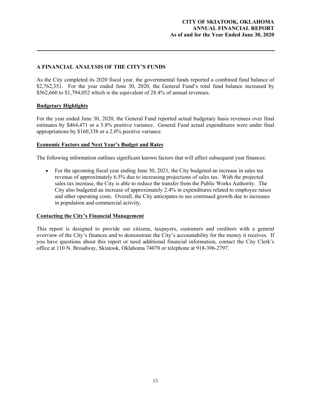#### **A FINANCIAL ANALYSIS OF THE CITY'S FUNDS**

As the City completed its 2020 fiscal year, the governmental funds reported a combined fund balance of \$2,762,351. For the year ended June 30, 2020, the General Fund's total fund balance increased by \$562,660 to \$1,794,052 which is the equivalent of 28.4% of annual revenues.

#### **Budgetary Highlights**

l

For the year ended June 30, 2020, the General Fund reported actual budgetary basis revenues over final estimates by \$464,471 or a 5.8% positive variance. General Fund actual expenditures were under final appropriations by \$160,338 or a 2.0% positive variance.

#### **Economic Factors and Next Year's Budget and Rates**

The following information outlines significant known factors that will affect subsequent year finances:

• For the upcoming fiscal year ending June 30, 2021, the City budgeted an increase in sales tax revenue of approximately 6.5% due to increasing projections of sales tax. With the projected sales tax increase, the City is able to reduce the transfer from the Public Works Authority. The City also budgeted an increase of approximately 2.4% in expenditures related to employee raises and other operating costs. Overall, the City anticipates to see continued growth due to increases in population and commercial activity.

#### **Contacting the City's Financial Management**

This report is designed to provide our citizens, taxpayers, customers and creditors with a general overview of the City's finances and to demonstrate the City's accountability for the money it receives. If you have questions about this report or need additional financial information, contact the City Clerk's office at 110 N. Broadway, Skiatook, Oklahoma 74070 or telephone at 918-396-2797.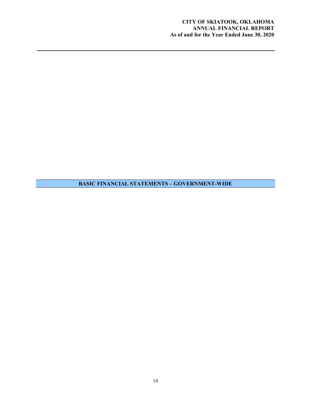**BASIC FINANCIAL STATEMENTS – GOVERNMENT-WIDE**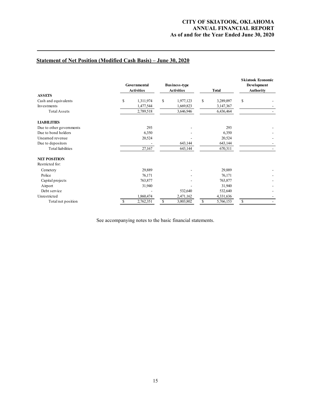## **Statement of Net Position (Modified Cash Basis) – June 30, 2020**

l

|                          | Governmental<br><b>Activities</b> | <b>Business-type</b><br><b>Activities</b> | <b>Total</b>    | <b>Skiatook Economic</b><br>Development<br><b>Authority</b> |
|--------------------------|-----------------------------------|-------------------------------------------|-----------------|-------------------------------------------------------------|
| <b>ASSETS</b>            |                                   |                                           |                 |                                                             |
| Cash and equivalents     | \$<br>1,311,974                   | \$<br>1,977,123                           | \$<br>3,289,097 | \$                                                          |
| Investments              | 1,477,544                         | 1,669,823                                 | 3,147,367       |                                                             |
| Total Assets             | 2,789,518                         | 3,646,946                                 | 6,436,464       |                                                             |
| <b>LIABILITIES</b>       |                                   |                                           |                 |                                                             |
| Due to other governments | 293                               |                                           | 293             |                                                             |
| Due to bond holders      | 6,350                             |                                           | 6,350           |                                                             |
| Unearned revenue         | 20,524                            |                                           | 20,524          |                                                             |
| Due to depositors        |                                   | 643,144                                   | 643,144         |                                                             |
| <b>Total</b> liabilities | 27,167                            | 643,144                                   | 670,311         |                                                             |
| <b>NET POSITION</b>      |                                   |                                           |                 |                                                             |
| Restricted for:          |                                   |                                           |                 |                                                             |
| Cemetery                 | 29,889                            |                                           | 29,889          |                                                             |
| Police                   | 76,171                            |                                           | 76,171          |                                                             |
| Capital projects         | 763,877                           |                                           | 763,877         |                                                             |
| Airport                  | 31,940                            |                                           | 31,940          |                                                             |
| Debt service             |                                   | 532,640                                   | 532,640         |                                                             |
| Unrestricted             | 1,860,474                         | 2,471,162                                 | 4,331,636       |                                                             |
| Total net position       | \$<br>2,762,351                   | \$<br>3,003,802                           | \$<br>5,766,153 | \$                                                          |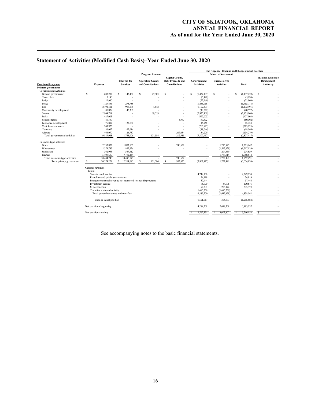## **Statement of Activities (Modified Cash Basis)–Year Ended June 30, 2020**

l

|                                |                          |                                                              |   |                    |    |                         |   |                          |    |                          |    |                           |   | Net (Expense) Revenue and Changes in Net Position |                          |        |
|--------------------------------|--------------------------|--------------------------------------------------------------|---|--------------------|----|-------------------------|---|--------------------------|----|--------------------------|----|---------------------------|---|---------------------------------------------------|--------------------------|--------|
|                                |                          |                                                              |   |                    |    | <b>Program Revenue</b>  |   |                          |    |                          |    | <b>Primary Government</b> |   |                                                   |                          |        |
|                                |                          |                                                              |   |                    |    |                         |   | Capital Grants,          |    |                          |    |                           |   |                                                   | <b>Skiatook Economic</b> |        |
|                                |                          |                                                              |   | <b>Charges</b> for |    | <b>Operating Grants</b> |   | <b>Debt Proceeds and</b> |    | Governmental             |    | <b>Business-type</b>      |   |                                                   | Development              |        |
| <b>Functions/Programs</b>      |                          | <b>Expenses</b>                                              |   | <b>Services</b>    |    | and Contributions       |   | <b>Contributions</b>     |    | <b>Activities</b>        |    | <b>Activities</b>         |   | <b>Total</b>                                      | <b>Authority</b>         |        |
| Primary government             |                          |                                                              |   |                    |    |                         |   |                          |    |                          |    |                           |   |                                                   |                          |        |
| Governmental Activities:       |                          |                                                              |   |                    |    |                         |   |                          |    |                          |    |                           |   |                                                   |                          |        |
| General government             | s                        | 1,607,282                                                    | s | 142,460            | s  | 27.383                  | s |                          | s  | (1,437,439)              | s  |                           | S | (1,437,439)                                       | s                        |        |
| Town clerk                     |                          | 5,190                                                        |   |                    |    |                         |   |                          |    | (5,190)                  |    |                           |   | (5,190)                                           |                          |        |
| Judge                          |                          | 22,960                                                       |   |                    |    | ٠                       |   |                          |    | (22,960)                 |    |                           |   | (22.960)                                          |                          |        |
| Police                         |                          | 1,729,456                                                    |   | 273,738            |    |                         |   |                          |    | (1,455,718)              |    |                           |   | (1,455,718)                                       |                          |        |
| Fire                           |                          | 2,192,301                                                    |   | 995.168            |    | 4.642                   |   |                          |    | (1,192,491)              |    |                           |   | (1,192,491)                                       |                          |        |
| Community development          |                          | 85,879                                                       |   | 45,307             |    |                         |   |                          |    | (40, 572)                |    |                           |   | (40, 572)                                         |                          |        |
| <b>Streets</b>                 |                          | 2,904,719                                                    |   |                    |    | 69,559                  |   |                          |    | (2,835,160)              |    |                           |   | (2,835,160)                                       |                          |        |
| Parks                          |                          | 427,003                                                      |   |                    |    |                         |   |                          |    | (427,003)                |    |                           |   | (427,003)                                         |                          |        |
| Senior citizens                |                          | 86,339                                                       |   |                    |    |                         |   | 5,947                    |    | (80, 392)                |    |                           |   | (80.392)                                          |                          |        |
| Economic development           |                          | 76,802                                                       |   | 122,560            |    |                         |   |                          |    | 45,758                   |    |                           |   | 45,758                                            |                          |        |
| Vehicle maintenance            |                          | 203,925                                                      |   |                    |    |                         |   |                          |    | (203, 925)               |    |                           |   | (203.925)                                         |                          |        |
| Cemetery                       |                          | 80,062                                                       |   | 62,016             |    |                         |   |                          |    | (18,046)                 |    |                           |   | (18,046)                                          |                          |        |
| Airport                        |                          | 468,070                                                      |   | 126,757            |    |                         |   | 207,034                  |    | (134, 279)               |    |                           |   | (134, 279)                                        |                          |        |
| Total governmental activities  |                          | 9,889,988                                                    |   | 1,768,006          |    | 101,584                 |   | 212,981                  |    | (7,807,417)              |    | $\sim$                    |   | (7,807,417)                                       |                          | $\sim$ |
| Business-type activities       |                          |                                                              |   |                    |    |                         |   |                          |    |                          |    |                           |   |                                                   |                          |        |
| Water                          |                          | 2,337,872                                                    |   | 1,873,167          |    |                         |   | 1,740,652                |    |                          |    | 1,275,947                 |   | 1,275,947                                         |                          |        |
| Wastewater                     |                          | 2,379,785                                                    |   | 862,656            |    |                         |   |                          |    |                          |    | (1,517,129)               |   | (1,517,129)                                       |                          |        |
| Sanitation                     |                          | 362,953                                                      |   | 567,812            |    |                         |   |                          |    |                          |    | 204,859                   |   | 204,859                                           |                          |        |
| Electric                       |                          | 5,403,630                                                    |   | 7,192,444          |    |                         |   |                          |    |                          |    | 1,788,814                 |   | 1,788,814                                         |                          |        |
| Total business-type activities |                          | 10,484,240                                                   |   | 10,496,079         |    |                         |   | 1,740,652                |    | $\overline{\phantom{a}}$ |    | 1,752,491                 |   | 1,752,491                                         |                          |        |
| Total primary government       | -S                       | 20,374,228                                                   | S | 12,264,085         | S. | 101,584                 | s | 1,953,633                |    | (7,807,417)              |    | 1,752,491                 |   | (6,054,926)                                       |                          |        |
|                                |                          |                                                              |   |                    |    |                         |   |                          |    |                          |    |                           |   |                                                   |                          |        |
|                                | <b>General revenues:</b> |                                                              |   |                    |    |                         |   |                          |    |                          |    |                           |   |                                                   |                          |        |
|                                | Taxes:                   | Sales tax and use tax                                        |   |                    |    |                         |   |                          |    | 4,249,730                |    |                           |   | 4,249,730                                         |                          |        |
|                                |                          | Franchise and public service taxes                           |   |                    |    |                         |   |                          |    | 34,919                   |    |                           |   | 34.919                                            |                          |        |
|                                |                          | Intergovemmental revenue not restricted to specific programs |   |                    |    |                         |   |                          |    | 57,444                   |    |                           |   | 57,444                                            |                          |        |
|                                |                          | Investment income                                            |   |                    |    |                         |   |                          |    | 65,970                   |    | 34,606                    |   | 100,576                                           |                          |        |
|                                |                          | Miscellaneous                                                |   |                    |    |                         |   |                          |    | 192,201                  |    | 203.172                   |   | 395,373                                           |                          |        |
|                                |                          | Transfers - internal activity                                |   |                    |    |                         |   |                          |    | 1,685,236                |    | (1,685,236)               |   |                                                   |                          |        |
|                                |                          |                                                              |   |                    |    |                         |   |                          |    | 6,285,500                |    | (1,447,458)               |   | 4,838,042                                         |                          |        |
|                                |                          | Total general revenues and transfers                         |   |                    |    |                         |   |                          |    |                          |    |                           |   |                                                   |                          |        |
|                                |                          | Change in net position                                       |   |                    |    |                         |   |                          |    | (1,521,917)              |    | 305,033                   |   | (1,216,884)                                       |                          |        |
|                                |                          | Net position - beginning                                     |   |                    |    |                         |   |                          |    | 4,284,268                |    | 2,698,769                 |   | 6,983,037                                         |                          |        |
|                                |                          | Net position - ending                                        |   |                    |    |                         |   |                          | -S | 2,762,351                | -S | 3,003,802                 | s | 5,766,153                                         | s                        |        |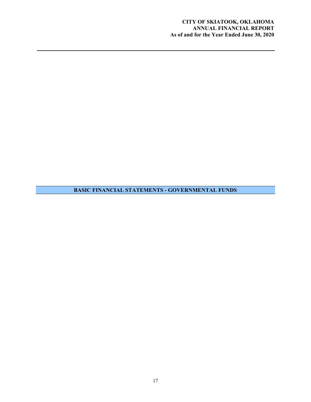**BASIC FINANCIAL STATEMENTS - GOVERNMENTAL FUNDS**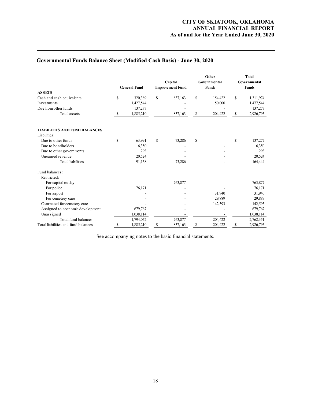## **Governmental Funds Balance Sheet (Modified Cash Basis) - June 30, 2020**

l

|                                      |               | <b>General Fund</b> | Capital<br><b>Improvement Fund</b> |              | Other<br>Governmental<br><b>Funds</b> | <b>Total</b><br>Governmental<br><b>Funds</b> |
|--------------------------------------|---------------|---------------------|------------------------------------|--------------|---------------------------------------|----------------------------------------------|
| <b>ASSETS</b>                        |               |                     |                                    |              |                                       |                                              |
| Cash and cash equivalents            | \$            | 320,389             | \$<br>837,163                      | \$           | 154,422                               | \$<br>1,311,974                              |
| Investments                          |               | 1,427,544           |                                    |              | 50,000                                | 1,477,544                                    |
| Due from other funds                 |               | 137,277             |                                    |              |                                       | 137,277                                      |
| Total assets                         | <sup>\$</sup> | 1,885,210           | 837,163                            | $\mathbb{S}$ | 204,422                               | \$<br>2,926,795                              |
| <b>LIABILITIES AND FUND BALANCES</b> |               |                     |                                    |              |                                       |                                              |
| Liabilities:                         |               |                     |                                    |              |                                       |                                              |
| Due to other funds                   | \$            | 63,991              | \$<br>73,286                       | \$           |                                       | \$<br>137,277                                |
| Due to bondholders                   |               | 6.350               |                                    |              |                                       | 6,350                                        |
| Due to other governments             |               | 293                 |                                    |              |                                       | 293                                          |
| Unearned revenue                     |               | 20,524              |                                    |              |                                       | 20,524                                       |
| <b>Total</b> liabilities             |               | 91,158              | 73,286                             |              |                                       | 164,444                                      |
| Fund balances:                       |               |                     |                                    |              |                                       |                                              |
| Restricted:                          |               |                     |                                    |              |                                       |                                              |
| For capital outlay                   |               |                     | 763,877                            |              |                                       | 763,877                                      |
| For police                           |               | 76,171              |                                    |              |                                       | 76,171                                       |
| For airport                          |               |                     |                                    |              | 31,940                                | 31,940                                       |
| For cemetery care                    |               |                     |                                    |              | 29,889                                | 29,889                                       |
| Committed for cemetery care          |               |                     |                                    |              | 142,593                               | 142,593                                      |
| Assigned to economic development     |               | 679,767             |                                    |              |                                       | 679,767                                      |
| Unassigned                           |               | 1,038,114           |                                    |              |                                       | 1,038,114                                    |
| Total fund balances                  |               | 1,794,052           | 763,877                            |              | 204,422                               | 2,762,351                                    |
| Total liabilities and fund balances  | \$            | 1,885,210           | \$<br>837,163                      | \$           | 204,422                               | \$<br>2,926,795                              |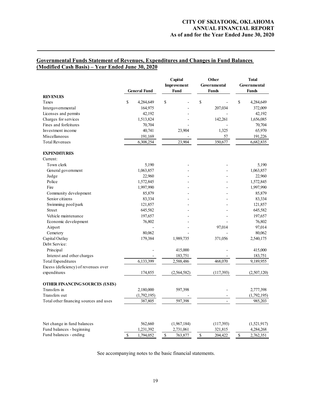#### **Governmental Funds Statement of Revenues, Expenditures and Changes in Fund Balances (Modified Cash Basis) – Year Ended June 30, 2020**

l

|                                        | <b>General Fund</b> | Capital<br>Improvement<br><b>Fund</b> | Other<br>Governmental<br>Funds | <b>Total</b><br>Governmental<br><b>Funds</b> |
|----------------------------------------|---------------------|---------------------------------------|--------------------------------|----------------------------------------------|
| <b>REVENUES</b>                        |                     |                                       |                                |                                              |
| Taxes                                  | \$<br>4,284,649     | \$                                    | \$                             | \$<br>4,284,649                              |
| Intergovernmental                      | 164,975             |                                       | 207,034                        | 372,009                                      |
| Licenses and permits                   | 42,192              |                                       |                                | 42,192                                       |
| Charges for services                   | 1,513,824           |                                       | 142,261                        | 1,656,085                                    |
| Fines and forfeitures                  | 70,704              |                                       |                                | 70,704                                       |
| Investment income                      | 40,741              | 23,904                                | 1,325                          | 65,970                                       |
| Miscellaneous                          | 191,169             |                                       | 57                             | 191,226                                      |
| <b>Total Revenues</b>                  | 6,308,254           | 23,904                                | 350,677                        | 6,682,835                                    |
| <b>EXPENDITURES</b>                    |                     |                                       |                                |                                              |
| Current:                               |                     |                                       |                                |                                              |
| Town clerk                             | 5,190               |                                       |                                | 5,190                                        |
| General government                     | 1,063,857           |                                       |                                | 1,063,857                                    |
| Judge                                  | 22,960              |                                       |                                | 22,960                                       |
| Police                                 | 1,572,845           |                                       |                                | 1,572,845                                    |
| Fire                                   | 1,997,990           |                                       |                                | 1,997,990                                    |
| Community development                  | 85,879              |                                       |                                | 85,879                                       |
| Senior citizens                        | 83,334              |                                       |                                | 83,334                                       |
| Swimming pool/park                     | 121,857             |                                       |                                | 121,857                                      |
| Street                                 | 645,582             |                                       |                                | 645,582                                      |
| Vehicle maintenance                    | 197,657             |                                       |                                | 197,657                                      |
| Economic development                   | 76,802              |                                       |                                | 76,802                                       |
| Airport                                |                     |                                       | 97,014                         | 97,014                                       |
| Cemetery                               | 80,062              |                                       |                                | 80,062                                       |
| Capital Outlay                         | 179,384             | 1,989,735                             | 371,056                        | 2,540,175                                    |
| Debt Service:                          |                     |                                       |                                |                                              |
| Principal                              |                     | 415,000                               |                                | 415,000                                      |
| Interest and other charges             |                     | 183,751                               |                                | 183,751                                      |
| <b>Total Expenditures</b>              | 6,133,399           | 2,588,486                             | 468,070                        | 9,189,955                                    |
| Excess (deficiency) of revenues over   |                     |                                       |                                |                                              |
| expenditures                           | 174,855             | (2,564,582)                           | (117, 393)                     | (2,507,120)                                  |
| OTHER FINANCING SOURCES (USES)         |                     |                                       |                                |                                              |
| Transfers in                           | 2,180,000           | 597,398                               |                                | 2,777,398                                    |
| Transfers out                          | (1,792,195)         |                                       |                                | (1,792,195)                                  |
| Total other financing sources and uses | 387,805             | 597,398                               | $\sim$                         | 985,203                                      |
|                                        |                     |                                       |                                |                                              |
| Net change in fund balances            | 562,660             | (1,967,184)                           | (117,393)                      | (1,521,917)                                  |
| Fund balances - beginning              | 1,231,392           | 2,731,061                             | 321,815                        | 4,284,268                                    |
| Fund balances - ending                 | \$<br>1,794,052     | \$<br>763,877                         | \$<br>204,422                  | \$<br>2,762,351                              |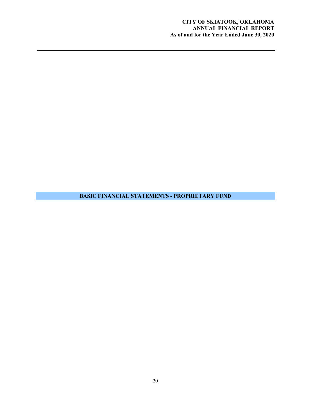**BASIC FINANCIAL STATEMENTS - PROPRIETARY FUND**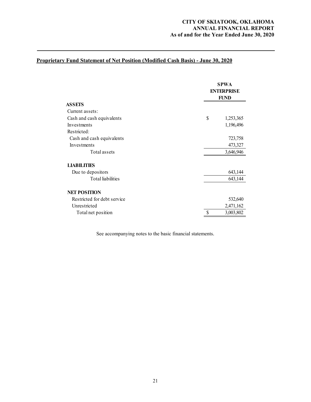## **Proprietary Fund Statement of Net Position (Modified Cash Basis) - June 30, 2020**

l

|                             |             | <b>SPWA</b><br><b>ENTERPRISE</b><br><b>FUND</b> |
|-----------------------------|-------------|-------------------------------------------------|
| <b>ASSETS</b>               |             |                                                 |
| Current assets:             |             |                                                 |
| Cash and cash equivalents   | \$          | 1,253,365                                       |
| Investments                 |             | 1,196,496                                       |
| Restricted:                 |             |                                                 |
| Cash and cash equivalents   |             | 723,758                                         |
| Investments                 |             | 473,327                                         |
| Total assets                |             | 3,646,946                                       |
| <b>LIABILITIES</b>          |             |                                                 |
| Due to depositors           |             | 643,144                                         |
| <b>Total liabilities</b>    |             | 643,144                                         |
| <b>NET POSITION</b>         |             |                                                 |
| Restricted for debt service |             | 532,640                                         |
| Unrestricted                |             | 2,471,162                                       |
| Total net position          | $\mathbf S$ | 3,003,802                                       |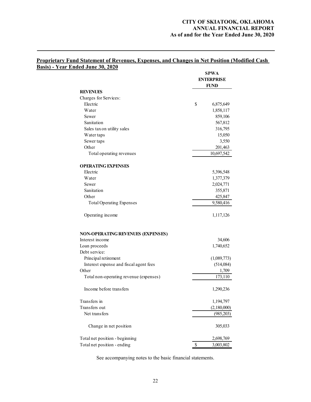| <u>Year Ended June 30, 2020</u>          | <b>SPWA</b><br><b>ENTERPRISE</b><br><b>FUND</b> |
|------------------------------------------|-------------------------------------------------|
| <b>REVENUES</b>                          |                                                 |
| Charges for Services:                    |                                                 |
| Electric                                 | \$<br>6,875,649                                 |
| Water                                    | 1,858,117                                       |
| Sewer                                    | 859,106                                         |
| Sanitation                               | 567,812                                         |
| Sales tax on utility sales               | 316,795                                         |
| Water taps                               | 15,050                                          |
| Sewer taps                               | 3,550                                           |
| Other                                    | 201,463                                         |
| Total operating revenues                 | 10,697,542                                      |
| <b>OPERATING EXPENSES</b>                |                                                 |
| Electric                                 | 5,396,548                                       |
| Water                                    | 1,377,379                                       |
| Sewer                                    | 2,024,771                                       |
| Sanitation                               | 355,871                                         |
| Other                                    | 425,847                                         |
| <b>Total Operating Expenses</b>          | 9,580,416                                       |
| Operating income                         | 1,117,126                                       |
| <b>NON-OPERATING REVENUES (EXPENSES)</b> |                                                 |
| Interest income                          | 34,606                                          |
| Loan proceeds                            | 1,740,652                                       |
| Debt service:                            |                                                 |
| Principal retirement                     | (1,089,773)                                     |
| Interest expense and fiscal agent fees   | (514,084)                                       |
| Other                                    | 1,709                                           |
| Total non-operating revenue (expenses)   | 173,110                                         |
| Income before transfers                  | 1,290,236                                       |
| Transfers in                             | 1,194,797                                       |
| Transfers out                            | (2,180,000)                                     |
| Net transfers                            | (985, 203)                                      |
| Change in net position                   | 305,033                                         |
|                                          | 2,698,769                                       |
| Total net position - beginning           |                                                 |

## **Proprietary Fund Statement of Revenues, Expenses, and Changes in Net Position (Modified Cash Basis**) - Y

l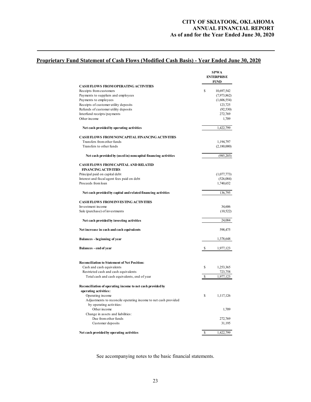## **Proprietary Fund Statement of Cash Flows (Modified Cash Basis) - Year Ended June 30, 2020**

l

|                                                                                      |    | <b>SPWA</b><br><b>ENTERPRISE</b><br>FUND |
|--------------------------------------------------------------------------------------|----|------------------------------------------|
| <b>CASH FLOWS FROM OPERATING ACTIVITIES</b>                                          |    |                                          |
| Receipts from customers                                                              | S  | 10,697,542                               |
| Payments to suppliers and employees                                                  |    | (7,973,862)                              |
| Payments to employees<br>Receipts of customer utility deposits                       |    | (1,606,554)                              |
| Refunds of customer utility deposits                                                 |    | 123,725                                  |
| Interfund receipts/payments                                                          |    | (92, 530)<br>272,769                     |
| Other income                                                                         |    | 1,709                                    |
| Net cash provided by operating activities                                            |    | 1,422,799                                |
| <b>CASH FLOWS FROM NONCAPITAL FINANCING ACTIVITIES</b><br>Transfers from other funds |    | 1,194,797                                |
| Transfers to other funds                                                             |    | (2,180,000)                              |
|                                                                                      |    |                                          |
| Net cash provided by (used in) noncapital financing activities                       |    | (985,203)                                |
| CASH FLOWS FROM CAPITAL AND RELATED<br><b>FINANCING ACTIVITIES</b>                   |    |                                          |
| Principal paid on capital debt                                                       |    | (1,077,773)                              |
| Interest and fiscal agent fees paid on debt                                          |    | (526,084)                                |
| Proceeds from loan                                                                   |    | 1,740,652                                |
| Net cash provided by capital and related financing activities                        |    | 136,795                                  |
| <b>CASH FLOWS FROM INVESTING ACTIVITIES</b>                                          |    |                                          |
| Investment income                                                                    |    | 34,606                                   |
| Sale (purchase) of investments                                                       |    | (10, 522)                                |
| Net cash provided by investing activities                                            |    | 24,084                                   |
| Net increase in cash and cash equivalents                                            |    | 598,475                                  |
| <b>Balances - beginning of year</b>                                                  |    | 1,378,648                                |
| <b>Balances - end of year</b>                                                        | \$ | 1,977,123                                |
|                                                                                      |    |                                          |
| <b>Reconciliation to Statement of Net Position:</b>                                  |    |                                          |
| Cash and cash equivalents<br>Restricted cash and cash equivalents                    | \$ | 1,253,365                                |
| Total cash and cash equivalents, end of year                                         | \$ | 723,758<br>1,977,123                     |
|                                                                                      |    |                                          |
| Reconciliation of operating income to net cash provided by<br>operating activities:  |    |                                          |
| Operating income                                                                     | \$ | 1,117,126                                |
| Adjustments to reconcile operating income to net cash provided                       |    |                                          |
| by operating activities:                                                             |    |                                          |
| Other income                                                                         |    | 1,709                                    |
| Change in assets and liabilities:                                                    |    |                                          |
| Due from other funds                                                                 |    | 272,769                                  |
| Customer deposits                                                                    |    | 31,195                                   |
| Net cash provided by operating activities                                            | \$ | 1,422,799                                |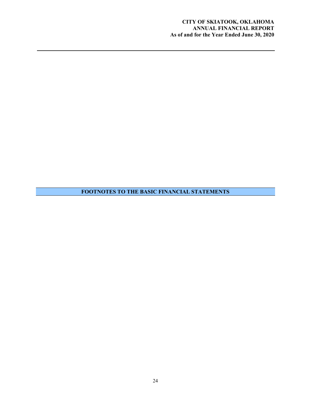**FOOTNOTES TO THE BASIC FINANCIAL STATEMENTS**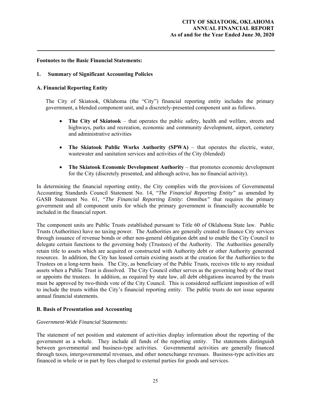#### **Footnotes to the Basic Financial Statements:**

#### **1. Summary of Significant Accounting Policies**

#### **A. Financial Reporting Entity**

l

The City of Skiatook, Oklahoma (the "City") financial reporting entity includes the primary government, a blended component unit, and a discretely-presented component unit as follows.

- **The City of Skiatook** that operates the public safety, health and welfare, streets and highways, parks and recreation, economic and community development, airport, cemetery and administrative activities
- **The Skiatook Public Works Authority (SPWA)** that operates the electric, water, wastewater and sanitation services and activities of the City (blended)
- **The Skiatook Economic Development Authority** that promotes economic development for the City (discretely presented, and although active, has no financial activity).

In determining the financial reporting entity, the City complies with the provisions of Governmental Accounting Standards Council Statement No. 14, "*The Financial Reporting Entity"* as amended by GASB Statement No. 61, *"The Financial Reporting Entity: Omnibus"* that requires the primary government and all component units for which the primary government is financially accountable be included in the financial report.

The component units are Public Trusts established pursuant to Title 60 of Oklahoma State law. Public Trusts (Authorities) have no taxing power. The Authorities are generally created to finance City services through issuance of revenue bonds or other non-general obligation debt and to enable the City Council to delegate certain functions to the governing body (Trustees) of the Authority. The Authorities generally retain title to assets which are acquired or constructed with Authority debt or other Authority generated resources. In addition, the City has leased certain existing assets at the creation for the Authorities to the Trustees on a long-term basis. The City, as beneficiary of the Public Trusts, receives title to any residual assets when a Public Trust is dissolved. The City Council either serves as the governing body of the trust or appoints the trustees. In addition, as required by state law, all debt obligations incurred by the trusts must be approved by two-thirds vote of the City Council. This is considered sufficient imposition of will to include the trusts within the City's financial reporting entity. The public trusts do not issue separate annual financial statements.

#### **B. Basis of Presentation and Accounting**

#### *Government-Wide Financial Statements:*

The statement of net position and statement of activities display information about the reporting of the government as a whole. They include all funds of the reporting entity. The statements distinguish between governmental and business-type activities. Governmental activities are generally financed through taxes, intergovernmental revenues, and other nonexchange revenues. Business-type activities are financed in whole or in part by fees charged to external parties for goods and services.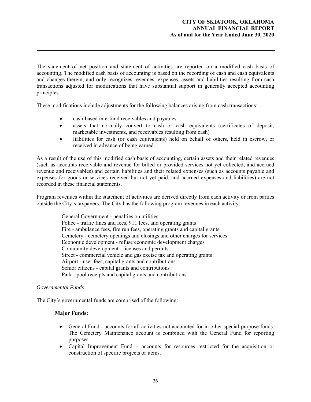The statement of net position and statement of activities are reported on a modified cash basis of accounting. The modified cash basis of accounting is based on the recording of cash and cash equivalents and changes therein, and only recognizes revenues, expenses, assets and liabilities resulting from cash transactions adjusted for modifications that have substantial support in generally accepted accounting principles.

These modifications include adjustments for the following balances arising from cash transactions:

- cash-based interfund receivables and payables
- assets that normally convert to cash or cash equivalents (certificates of deposit, marketable investments, and receivables resulting from cash)
- liabilities for cash (or cash equivalents) held on behalf of others, held in escrow, or received in advance of being earned

As a result of the use of this modified cash basis of accounting, certain assets and their related revenues (such as accounts receivable and revenue for billed or provided services not yet collected, and accrued revenue and receivables) and certain liabilities and their related expenses (such as accounts payable and expenses for goods or services received but not yet paid, and accrued expenses and liabilities) are not recorded in these financial statements.

Program revenues within the statement of activities are derived directly from each activity or from parties outside the City's taxpayers. The City has the following program revenues in each activity:

> General Government - penalties on utilities Police - traffic fines and fees, 911 fees, and operating grants Fire - ambulance fees, fire run fees, operating grants and capital grants Cemetery - cemetery openings and closings and other charges for services Economic development - refuse economic development charges Community development - licenses and permits Street - commercial vehicle and gas excise tax and operating grants Airport - user fees, capital grants and contributions Senior citizens - capital grants and contributions Park - pool receipts and capital grants and contributions

#### *Governmental Funds:*

l

The City's governmental funds are comprised of the following:

#### **Major Funds:**

- General Fund accounts for all activities not accounted for in other special-purpose funds. The Cemetery Maintenance account is combined with the General Fund for reporting purposes.
- Capital Improvement Fund accounts for resources restricted for the acquisition or construction of specific projects or items.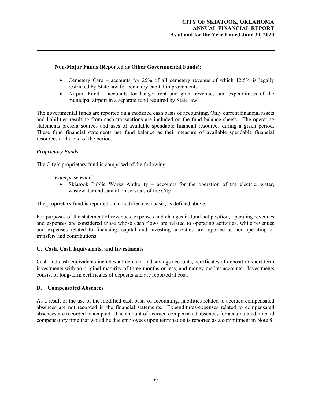#### **Non-Major Funds (Reported as Other Governmental Funds):**

- Cemetery Care accounts for 25% of all cemetery revenue of which 12.5% is legally restricted by State law for cemetery capital improvements
- Airport Fund accounts for hanger rent and grant revenues and expenditures of the municipal airport in a separate fund required by State law

The governmental funds are reported on a modified cash basis of accounting. Only current financial assets and liabilities resulting from cash transactions are included on the fund balance sheets. The operating statements present sources and uses of available spendable financial resources during a given period. These fund financial statements use fund balance as their measure of available spendable financial resources at the end of the period.

#### *Proprietary Funds:*

l

The City's proprietary fund is comprised of the following:

#### *Enterprise Fund:*

 Skiatook Public Works Authority – accounts for the operation of the electric, water, wastewater and sanitation services of the City

The proprietary fund is reported on a modified cash basis, as defined above.

For purposes of the statement of revenues, expenses and changes in fund net position, operating revenues and expenses are considered those whose cash flows are related to operating activities, while revenues and expenses related to financing, capital and investing activities are reported as non-operating or transfers and contributions.

#### **C. Cash, Cash Equivalents, and Investments**

Cash and cash equivalents includes all demand and savings accounts, certificates of deposit or short-term investments with an original maturity of three months or less, and money market accounts. Investments consist of long-term certificates of deposits and are reported at cost.

#### **D. Compensated Absences**

As a result of the use of the modified cash basis of accounting, liabilities related to accrued compensated absences are not recorded in the financial statements. Expenditures/expenses related to compensated absences are recorded when paid. The amount of accrued compensated absences for accumulated, unpaid compensatory time that would be due employees upon termination is reported as a commitment in Note 8.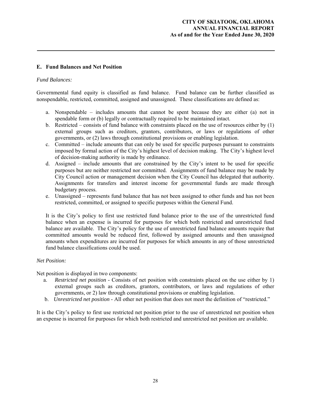#### **E. Fund Balances and Net Position**

#### *Fund Balances:*

l

Governmental fund equity is classified as fund balance. Fund balance can be further classified as nonspendable, restricted, committed, assigned and unassigned. These classifications are defined as:

- a. Nonspendable includes amounts that cannot be spent because they are either (a) not in spendable form or (b) legally or contractually required to be maintained intact.
- b. Restricted consists of fund balance with constraints placed on the use of resources either by (1) external groups such as creditors, grantors, contributors, or laws or regulations of other governments, or (2) laws through constitutional provisions or enabling legislation.
- c. Committed include amounts that can only be used for specific purposes pursuant to constraints imposed by formal action of the City's highest level of decision making. The City's highest level of decision-making authority is made by ordinance.
- d. Assigned include amounts that are constrained by the City's intent to be used for specific purposes but are neither restricted nor committed. Assignments of fund balance may be made by City Council action or management decision when the City Council has delegated that authority. Assignments for transfers and interest income for governmental funds are made through budgetary process.
- e. Unassigned represents fund balance that has not been assigned to other funds and has not been restricted, committed, or assigned to specific purposes within the General Fund.

It is the City's policy to first use restricted fund balance prior to the use of the unrestricted fund balance when an expense is incurred for purposes for which both restricted and unrestricted fund balance are available. The City's policy for the use of unrestricted fund balance amounts require that committed amounts would be reduced first, followed by assigned amounts and then unassigned amounts when expenditures are incurred for purposes for which amounts in any of those unrestricted fund balance classifications could be used.

#### *Net Position:*

Net position is displayed in two components:

- a. *Restricted net position* Consists of net position with constraints placed on the use either by 1) external groups such as creditors, grantors, contributors, or laws and regulations of other governments, or 2) law through constitutional provisions or enabling legislation.
- b. *Unrestricted net position* All other net position that does not meet the definition of "restricted."

It is the City's policy to first use restricted net position prior to the use of unrestricted net position when an expense is incurred for purposes for which both restricted and unrestricted net position are available.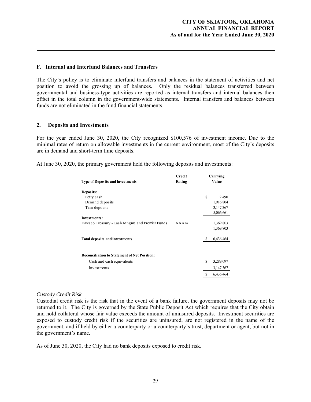#### **F. Internal and Interfund Balances and Transfers**

The City's policy is to eliminate interfund transfers and balances in the statement of activities and net position to avoid the grossing up of balances. Only the residual balances transferred between governmental and business-type activities are reported as internal transfers and internal balances then offset in the total column in the government-wide statements. Internal transfers and balances between funds are not eliminated in the fund financial statements.

#### **2. Deposits and Investments**

l

For the year ended June 30, 2020, the City recognized \$100,576 of investment income. Due to the minimal rates of return on allowable investments in the current environment, most of the City's deposits are in demand and short-term time deposits.

At June 30, 2020, the primary government held the following deposits and investments:

| Credit                                              |        | Carrying |           |  |  |
|-----------------------------------------------------|--------|----------|-----------|--|--|
| <b>Type of Deposits and Investments</b>             | Rating | Value    |           |  |  |
|                                                     |        |          |           |  |  |
| Deposits:                                           |        |          |           |  |  |
| Petty cash                                          |        | S        | 2,490     |  |  |
| Demand deposits                                     |        |          | 1,916,804 |  |  |
| Time deposits                                       |        |          | 3,147,367 |  |  |
|                                                     |        |          | 5,066,661 |  |  |
| Investments:                                        |        |          |           |  |  |
| Invesco Treasury - Cash Mngmt and Premier Funds     | AAAm   |          | 1,369,803 |  |  |
|                                                     |        |          | 1,369,803 |  |  |
|                                                     |        |          |           |  |  |
| <b>Total deposits and investments</b>               |        |          | 6,436,464 |  |  |
|                                                     |        |          |           |  |  |
|                                                     |        |          |           |  |  |
| <b>Reconciliation to Statement of Net Position:</b> |        |          |           |  |  |
| Cash and cash equivalents                           |        | S        | 3,289,097 |  |  |
| Investments                                         |        |          | 3,147,367 |  |  |
|                                                     |        | \$       | 6.436.464 |  |  |

#### *Custody Credit Risk*

Custodial credit risk is the risk that in the event of a bank failure, the government deposits may not be returned to it. The City is governed by the State Public Deposit Act which requires that the City obtain and hold collateral whose fair value exceeds the amount of uninsured deposits. Investment securities are exposed to custody credit risk if the securities are uninsured, are not registered in the name of the government, and if held by either a counterparty or a counterparty's trust, department or agent, but not in the government's name.

As of June 30, 2020, the City had no bank deposits exposed to credit risk.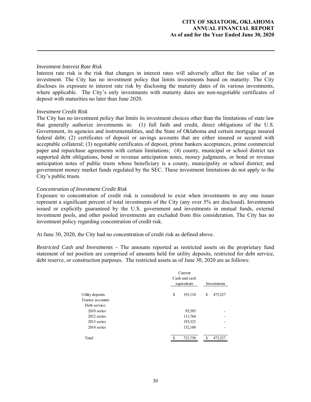#### *Investment Interest Rate Risk*

l

Interest rate risk is the risk that changes in interest rates will adversely affect the fair value of an investment. The City has no investment policy that limits investments based on maturity. The City discloses its exposure to interest rate risk by disclosing the maturity dates of its various investments, where applicable. The City's only investments with maturity dates are non-negotiable certificates of deposit with maturities no later than June 2020.

#### *Investment Credit Risk*

The City has no investment policy that limits its investment choices other than the limitations of state law that generally authorize investments in: (1) full faith and credit, direct obligations of the U.S. Government, its agencies and instrumentalities, and the State of Oklahoma and certain mortgage insured federal debt; (2) certificates of deposit or savings accounts that are either insured or secured with acceptable collateral; (3) negotiable certificates of deposit, prime bankers acceptances, prime commercial paper and repurchase agreements with certain limitations; (4) county, municipal or school district tax supported debt obligations, bond or revenue anticipation notes, money judgments, or bond or revenue anticipation notes of public trusts whose beneficiary is a county, municipality or school district; and government money market funds regulated by the SEC. These investment limitations do not apply to the City's public trusts.

#### *Concentration of Investment Credit Risk*

Exposure to concentration of credit risk is considered to exist when investments in any one issuer represent a significant percent of total investments of the City (any over 5% are disclosed). Investments issued or explicitly guaranteed by the U.S. government and investments in mutual funds, external investment pools, and other pooled investments are excluded from this consideration. The City has no investment policy regarding concentration of credit risk.

At June 30, 2020, the City had no concentration of credit risk as defined above.

*Restricted Cash and Investments –* The amounts reported as restricted assets on the proprietary fund statement of net position are comprised of amounts held for utility deposits, restricted for debt service, debt reserve, or construction purposes. The restricted assets as of June 30, 2020 are as follows:

|                   | Current<br>Cash and cash<br>equivalents |         | Investments |         |  |  |
|-------------------|-----------------------------------------|---------|-------------|---------|--|--|
| Utility deposits  | S                                       | 191,118 | S           | 473,327 |  |  |
| Trustee accounts: |                                         |         |             |         |  |  |
| Debt service:     |                                         |         |             |         |  |  |
| 2010 series       |                                         | 95,385  |             |         |  |  |
| 2012 series       |                                         | 111,764 |             |         |  |  |
| 2013 series       |                                         | 193,323 |             |         |  |  |
| 2014 series       |                                         | 132,168 |             |         |  |  |
| Total             |                                         | 723,758 |             | 473,327 |  |  |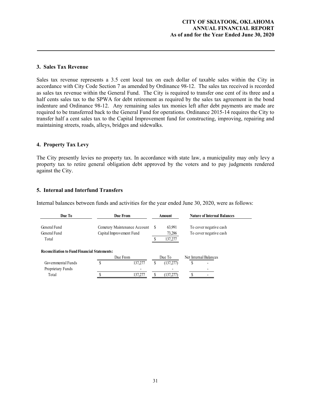#### **3. Sales Tax Revenue**

l

Sales tax revenue represents a 3.5 cent local tax on each dollar of taxable sales within the City in accordance with City Code Section 7 as amended by Ordinance 98-12. The sales tax received is recorded as sales tax revenue within the General Fund. The City is required to transfer one cent of its three and a half cents sales tax to the SPWA for debt retirement as required by the sales tax agreement in the bond indenture and Ordinance 98-12. Any remaining sales tax monies left after debt payments are made are required to be transferred back to the General Fund for operations. Ordinance 2015-14 requires the City to transfer half a cent sales tax to the Capital Improvement fund for constructing, improving, repairing and maintaining streets, roads, alleys, bridges and sidewalks.

#### **4. Property Tax Levy**

The City presently levies no property tax. In accordance with state law, a municipality may only levy a property tax to retire general obligation debt approved by the voters and to pay judgments rendered against the City.

#### **5. Internal and Interfund Transfers**

Internal balances between funds and activities for the year ended June 30, 2020, were as follows:

| Due To                                              | Due From                     |                   | <b>Nature of Internal Balances</b> |  |
|-----------------------------------------------------|------------------------------|-------------------|------------------------------------|--|
| General Fund<br>General Fund                        | Cemetery Maintenance Account | 63,991<br>-S      | To cover negative cash             |  |
| Total                                               | Capital Improvement Fund     | 73,286<br>137,277 | To cover negative cash             |  |
| <b>Reconciliation to Fund Financial Statements:</b> |                              |                   |                                    |  |
|                                                     | Due From                     | Due To            | Net Internal Balances              |  |
| Governmental Funds                                  | S<br>137,277                 | (137,277)<br>S    | S                                  |  |
| Proprietary Funds                                   |                              |                   |                                    |  |
| Total                                               | 137.277                      | (137,277)         |                                    |  |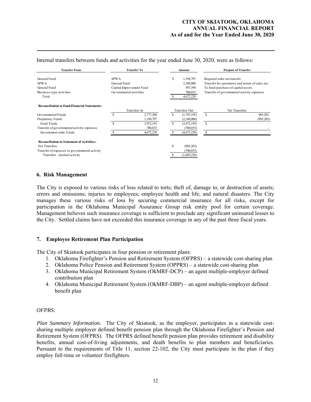#### Internal transfers between funds and activities for the year ended June 30, 2020, were as follows:

| <b>Transfer From</b>                                |                          | <b>Transfer To</b><br>Amount |    | <b>Purpose of Transfer</b> |                                                 |
|-----------------------------------------------------|--------------------------|------------------------------|----|----------------------------|-------------------------------------------------|
| General Fund                                        | <b>SPWA</b>              |                              | S  | 1,194,797                  | Required sales tax transfer                     |
| <b>SPWA</b>                                         | General Fund             |                              |    | 2,180,000                  | Transfer for operations and return of sales tax |
| General Fund                                        | Capital Improvement Fund |                              |    | 597,398                    | To fund purchase of capital assets              |
| Business-type activities                            | Governmental activities  |                              |    | 700,033                    | Transfer of governmental activity expenses      |
| Total                                               |                          |                              |    | 4,672,228                  |                                                 |
| <b>Reconciliation to Fund Financial Statements:</b> |                          |                              |    |                            |                                                 |
|                                                     |                          | Transfers In                 |    | Transfers Out              | Net Transfers                                   |
| Governmental Funds                                  | S                        | 2,777,398                    | S  | (1,792,195)                | S<br>985,203                                    |
| Proprietary Funds                                   |                          | 1,194,797                    |    | (2,180,000)                | (985,203)                                       |
| Fund Totals                                         | S                        | 3,972,195                    | S  | (3,972,195)                | S                                               |
| Transfer of governmental activity expenses          |                          | 700,033                      |    | (700, 033)                 |                                                 |
| Government-wide Totals                              |                          | 4,672,228                    |    | (4,672,228)                | S                                               |
| <b>Reconciliation to Statement of Activities:</b>   |                          |                              |    |                            |                                                 |
| Net Transfers                                       |                          |                              | \$ | (985,203)                  |                                                 |
| Transfer of expenses to governmental activity       |                          |                              |    | (700, 033)                 |                                                 |
| Transfers - internal activity                       |                          |                              |    | (1,685,236)                |                                                 |

#### **6. Risk Management**

l

The City is exposed to various risks of loss related to torts; theft of, damage to, or destruction of assets; errors and omissions; injuries to employees; employee health and life; and natural disasters. The City manages these various risks of loss by securing commercial insurance for all risks, except for participation in the Oklahoma Municipal Assurance Group risk entity pool for certain coverage. Management believes such insurance coverage is sufficient to preclude any significant uninsured losses to the City. Settled claims have not exceeded this insurance coverage in any of the past three fiscal years.

#### **7. Employee Retirement Plan Participation**

The City of Skiatook participates in four pension or retirement plans:

- 1. Oklahoma Firefighter's Pension and Retirement System (OFPRS) a statewide cost-sharing plan
- 2. Oklahoma Police Pension and Retirement System (OPPRS) a statewide cost-sharing plan
- 3. Oklahoma Municipal Retirement System (OkMRF-DCP) an agent multiple-employer defined contribution plan
- 4. Oklahoma Municipal Retirement System (OkMRF-DBP) an agent multiple-employer defined benefit plan

#### *OFPRS:*

*Plan Summary Information.* The City of Skiatook, as the employer, participates in a statewide costsharing multiple employer defined benefit pension plan through the Oklahoma Firefighter's Pension and Retirement System (OFPRS). The OFPRS defined benefit pension plan provides retirement and disability benefits, annual cost-of-living adjustments, and death benefits to plan members and beneficiaries. Pursuant to the requirements of Title 11, section 22-102, the City must participate in the plan if they employ full-time or volunteer firefighters.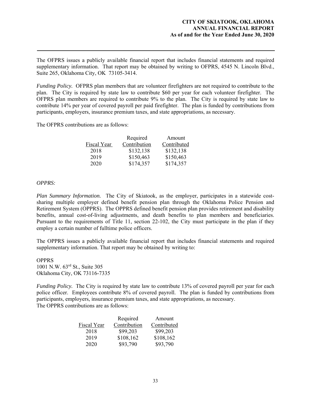The OFPRS issues a publicly available financial report that includes financial statements and required supplementary information. That report may be obtained by writing to OFPRS, 4545 N. Lincoln Blvd., Suite 265, Oklahoma City, OK 73105-3414.

*Funding Policy.* OFPRS plan members that are volunteer firefighters are not required to contribute to the plan. The City is required by state law to contribute \$60 per year for each volunteer firefighter. The OFPRS plan members are required to contribute 9% to the plan. The City is required by state law to contribute 14% per year of covered payroll per paid firefighter. The plan is funded by contributions from participants, employers, insurance premium taxes, and state appropriations, as necessary.

The OFPRS contributions are as follows:

|             | Required     | Amount      |
|-------------|--------------|-------------|
| Fiscal Year | Contribution | Contributed |
| 2018        | \$132,138    | \$132,138   |
| 2019        | \$150,463    | \$150,463   |
| 2020        | \$174,357    | \$174,357   |

#### *OPPRS:*

l

*Plan Summary Information.* The City of Skiatook, as the employer, participates in a statewide costsharing multiple employer defined benefit pension plan through the Oklahoma Police Pension and Retirement System (OPPRS). The OPPRS defined benefit pension plan provides retirement and disability benefits, annual cost-of-living adjustments, and death benefits to plan members and beneficiaries. Pursuant to the requirements of Title 11, section 22-102, the City must participate in the plan if they employ a certain number of fulltime police officers.

The OPPRS issues a publicly available financial report that includes financial statements and required supplementary information. That report may be obtained by writing to:

**OPPRS** 1001 N.W. 63rd St., Suite 305 Oklahoma City, OK 73116-7335

*Funding Policy.* The City is required by state law to contribute 13% of covered payroll per year for each police officer. Employees contribute 8% of covered payroll. The plan is funded by contributions from participants, employers, insurance premium taxes, and state appropriations, as necessary. The OPPRS contributions are as follows:

|             | Required     | Amount      |
|-------------|--------------|-------------|
| Fiscal Year | Contribution | Contributed |
| 2018        | \$99,203     | \$99,203    |
| 2019        | \$108,162    | \$108,162   |
| 2020        | \$93,790     | \$93,790    |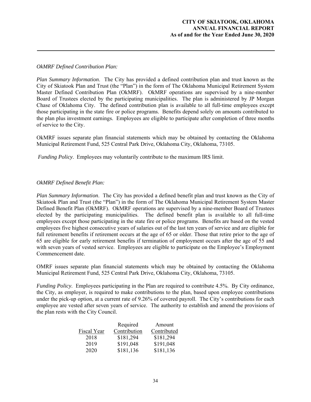#### *OkMRF Defined Contribution Plan:*

l

*Plan Summary Information*. The City has provided a defined contribution plan and trust known as the City of Skiatook Plan and Trust (the "Plan") in the form of The Oklahoma Municipal Retirement System Master Defined Contribution Plan (OkMRF). OkMRF operations are supervised by a nine-member Board of Trustees elected by the participating municipalities. The plan is administered by JP Morgan Chase of Oklahoma City. The defined contribution plan is available to all full-time employees except those participating in the state fire or police programs. Benefits depend solely on amounts contributed to the plan plus investment earnings. Employees are eligible to participate after completion of three months of service to the City.

OkMRF issues separate plan financial statements which may be obtained by contacting the Oklahoma Municipal Retirement Fund, 525 Central Park Drive, Oklahoma City, Oklahoma, 73105.

*Funding Policy*. Employees may voluntarily contribute to the maximum IRS limit.

#### *OkMRF Defined Benefit Plan:*

*Plan Summary Information*. The City has provided a defined benefit plan and trust known as the City of Skiatook Plan and Trust (the "Plan") in the form of The Oklahoma Municipal Retirement System Master Defined Benefit Plan (OkMRF). OkMRF operations are supervised by a nine-member Board of Trustees elected by the participating municipalities. The defined benefit plan is available to all full-time employees except those participating in the state fire or police programs. Benefits are based on the vested employees five highest consecutive years of salaries out of the last ten years of service and are eligible for full retirement benefits if retirement occurs at the age of 65 or older. Those that retire prior to the age of 65 are eligible for early retirement benefits if termination of employment occurs after the age of 55 and with seven years of vested service. Employees are eligible to participate on the Employee's Employment Commencement date.

OMRF issues separate plan financial statements which may be obtained by contacting the Oklahoma Municipal Retirement Fund, 525 Central Park Drive, Oklahoma City, Oklahoma, 73105.

*Funding Policy*. Employees participating in the Plan are required to contribute 4.5%. By City ordinance, the City, as employer, is required to make contributions to the plan, based upon employee contributions under the pick-up option, at a current rate of 9.26% of covered payroll. The City's contributions for each employee are vested after seven years of service. The authority to establish and amend the provisions of the plan rests with the City Council.

|             | Required     | Amount      |
|-------------|--------------|-------------|
| Fiscal Year | Contribution | Contributed |
| 2018        | \$181,294    | \$181,294   |
| 2019        | \$191,048    | \$191,048   |
| 2020        | \$181,136    | \$181,136   |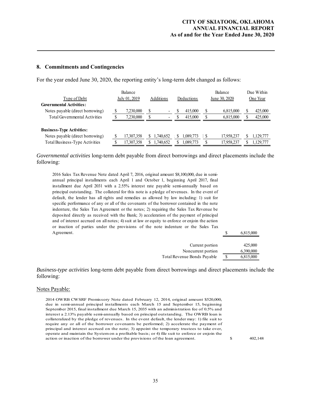#### **8. Commitments and Contingencies**

l

For the year ended June 30, 2020, the reporting entity's long-term debt changed as follows:

|                                      |   | Balance       |   |                          |            |    | Balance       | Due Within |
|--------------------------------------|---|---------------|---|--------------------------|------------|----|---------------|------------|
| Type of Debt                         |   | July 01, 2019 |   | Additions                | Deductions |    | June 30, 2020 | One Year   |
| <b>Governmental Activities:</b>      |   |               |   |                          |            |    |               |            |
| Notes payable (direct borrowing)     | S | 7,230,000     |   |                          | 415,000    | \$ | 6,815,000     | 425,000    |
| <b>Total Governmental Activities</b> |   | 7.230,000     | S | $\overline{\phantom{0}}$ | 415,000    |    | 6,815,000     | 425,000    |
|                                      |   |               |   |                          |            |    |               |            |
| <b>Business-Type Activities:</b>     |   |               |   |                          |            |    |               |            |
| Notes payable (direct borrowing)     |   | 17,307,358    |   | 1.740.652                | 1,089,773  |    | 17,958,237    | 1,129,777  |
| Total Business-Type Activities       |   | 17,307,358    |   | 1,740,652                | 1,089,773  | S  | 17,958,237    | 1,129,777  |
|                                      |   |               |   |                          |            |    |               |            |

*Governmental activities* long-term debt payable from direct borrowings and direct placements include the following:

2016 Sales Tax Revenue Note dated April 7, 2016, original amount \$8,100,000, due in semiannual principal installments each April 1 and October 1, beginning April 2017, final installment due April 2031 with a 2.55% interest rate payable semi-annually based on principal outstanding. The collateral for this note is a pledge of revenues. In the event of default, the lender has all rights and remedies as allowed by law including: 1) suit for specific performance of any or all of the covenants of the borrower contained in the note indenture, the Sales Tax Agreement or the notes; 2) requiring the Sales Tax Revenue be deposited directly as received with the Bank; 3) acceleration of the payment of principal and of interest accrued on all notes; 4) suit at law or equity to enforce or enjoin the action or inaction of parties under the provisions of the note indenture or the Sales Tax Agreement. \$ 6,815,000

|                             | ۰IJ | 0,012,000 |
|-----------------------------|-----|-----------|
|                             |     |           |
| Current portion             |     | 425,000   |
| Noncurrent portion          |     | 6,390,000 |
| Total Revenue Bonds Payable | S   | 6,815,000 |

#### *Business-type activities* long-term debt payable from direct borrowings and direct placements include the following:

#### Notes Payable:

2014 OWRB CWSRF Promissory Note dated February 12, 2014, original amount \$520,000, due in semi-annual principal installments each March 15 and September 15, beginning September 2015, final installment due March 15, 2035 with an administration fee of 0.5% and interest a 2.13% payable semi-annually based on principal outstanding. The OWRB loan is collateralized by the pledge of revenues. In the event default, the lender may: 1) file suit to require any or all of the borrower covenants be performed; 2) accelerate the payment of principal and interest accrued on the note; 3) appoint the temporary trustees to take over, operate and maintain the System on a profitable basis; or 4) file suit to enforce or enjoin the action or inaction of the borrower under the provisions of the loan agreement.  $\qquad \qquad$  402,148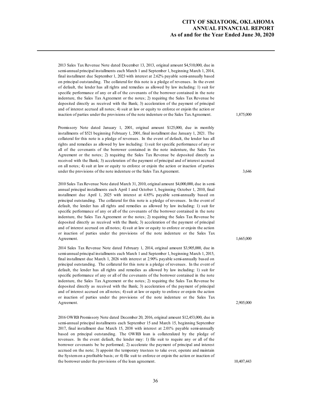2013 Sales Tax Revenue Note dated December 13, 2013, original amount \$4,510,000, due in semi-annual principal installments each March 1 and September 1, beginning March 1, 2014, final installment due September 1, 2023 with interest at 2.62% payable semi-annually based on principal outstanding. The collateral for this note is a pledge of revenues. In the event of default, the lender has all rights and remedies as allowed by law including: 1) suit for specific performance of any or all of the covenants of the borrower contained in the note indenture, the Sales Tax Agreement or the notes; 2) requiring the Sales Tax Revenue be deposited directly as received with the Bank; 3) acceleration of the payment of principal and of interest accrued all notes; 4) suit at law or equity to enforce or enjoin the action or inaction of parties under the provisions of the note indenture or the Sales Tax Agreement. 1,875,000

l

Promissory Note dated January 1, 2001, original amount \$125,000, due in monthly installments of \$521 beginning February 1, 2001, final installment due January 1, 2021. The collateral for this note is a pledge of revenues. In the event of default, the lender has all rights and remedies as allowed by law including: 1) suit for specific performance of any or all of the covenants of the borrower contained in the note indenture, the Sales Tax Agreement or the notes; 2) requiring the Sales Tax Revenue be deposited directly as received with the Bank; 3) acceleration of the payment of principal and of interest accrued on all notes; 4) suit at law or equity to enforce or enjoin the action or inaction of parties under the provisions of the note indenture or the Sales Tax Agreement. 3,646

2010 Sales TaxRevenue Note dated March 31, 2010, original amount \$4,000,000, due in semiannual principal installments each April 1 and October 1, beginning October 1, 2010, final installment due April 1, 2025 with interest at 4.85% payable semi-annually based on principal outstanding. The collateral for this note is a pledge of revenues. In the event of default, the lender has all rights and remedies as allowed by law including: 1) suit for specific performance of any or all of the covenants of the borrower contained in the note indenture, the Sales Tax Agreement or the notes; 2) requiring the Sales Tax Revenue be deposited directly as received with the Bank; 3) acceleration of the payment of principal and of interest accrued on all notes; 4) suit at law or equity to enforce or enjoin the action or inaction of parties under the provisions of the note indenture or the Sales Tax Agreement. 1,665,000

2014 Sales Tax Revenue Note dated February 1, 2014, original amount \$3,905,000, due in semi-annual principal installments each March 1 and September 1, beginning March 1, 2015, final installment due March 1, 2026 with interest at 2.90% payable semi-annually based on principal outstanding. The collateral for this note is a pledge of revenues. In the event of default, the lender has all rights and remedies as allowed by law including: 1) suit for specific performance of any or all of the covenants of the borrower contained in the note indenture, the Sales Tax Agreement or the notes; 2) requiring the Sales Tax Revenue be deposited directly as received with the Bank; 3) acceleration of the payment of principal and of interest accrued on all notes; 4) suit at law or equity to enforce or enjoin the action or inaction of parties under the provisions of the note indenture or the Sales Tax Agreement. 2,905,000

2016 OWRB Promissory Note dated December 20, 2016, original amount \$12,453,000, due in semi-annual principal installments each September 15 and March 15, beginning September 2017, final installment due March 15, 2038 with interest at 2.01% payable semi-annually based on principal outstanding. The OWRB loan is collateralized by the pledge of revenues. In the event default, the lender may: 1) file suit to require any or all of the borrower covenants be be performed; 2) accelerate the payment of principal and interest accrued on the note; 3) appoint the temporary trustees to take over, operate and maintain the System on a profitable basis; or 4) file suit to enforce or enjoin the action or inaction of the borrower under the provisions of the loan agreement. 10,407,443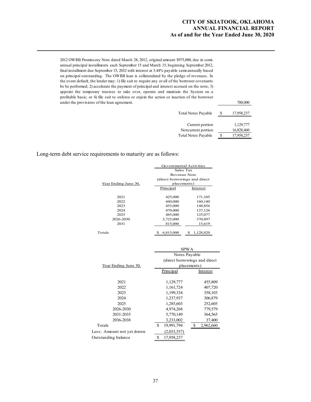2012 OWRB Promissory Note dated March 28, 2012, original amount \$975,000, due in semiannual principal installments each September 15 and March 15, beginning September 2012, final installment due September 15, 2032 with interest at 3.44% payable semi-annually based on principal outstanding. The OWRB loan is collateralized by the pledge of revenues. In the event default, the lender may: 1) file suit to require any or all of the borrower covenants be be performed; 2) accelerate the payment of principal and interest accrued on the note; 3) appoint the temporary trustees to take over, operate and maintain the System on a profitable basis; or 4) file suit to enforce or enjoin the action or inaction of the borrower under the provisions of the loan agreement. 700,000

| Total Notes Payable | S | 17,958,237 |
|---------------------|---|------------|
| Current portion     |   | 1,129,777  |
| Noncurrent portion  |   | 16,828,460 |
| Total Notes Payable |   | 17.958.237 |

Long-term debt service requirements to maturity are as follows:

|                      |                               | Governmental Activities |  |  |
|----------------------|-------------------------------|-------------------------|--|--|
|                      | Sales Tax                     |                         |  |  |
|                      | Revenue Note                  |                         |  |  |
|                      | (direct borrowings and direct |                         |  |  |
| Year Ending June 30, | placements)                   |                         |  |  |
|                      | Principal                     | Interest                |  |  |
|                      |                               |                         |  |  |
| 2021                 | 425,000                       | 171,105                 |  |  |
| 2022                 | 440,000                       | 160,140                 |  |  |
| 2023                 | 455,000                       | 148,856                 |  |  |
| 2024                 | 470,000                       | 137,126                 |  |  |
| 2025                 | 485,000                       | 125,077                 |  |  |
| 2026-2030            | 3,725,000                     | 370,897                 |  |  |
| 2031                 | 815,000                       | 15,619                  |  |  |
|                      |                               |                         |  |  |
| Totals               | \$<br>6.815,000               | \$<br>1.128.820         |  |  |

|                            | <b>SPWA</b>      |                               |
|----------------------------|------------------|-------------------------------|
|                            | Notes Payable    |                               |
|                            |                  | (direct borrowings and direct |
| Year Ending June 30,       |                  | placements)                   |
|                            | Principal        | Interest                      |
|                            |                  |                               |
| 2021                       | 1,129,777        | 455,809                       |
| 2022                       | 1,161,724        | 407,720                       |
| 2023                       | 1,199,334        | 358,103                       |
| 2024                       | 1,237,937        | 306,879                       |
| 2025                       | 1,285,603        | 252,605                       |
| 2026-2030                  | 4,974,268        | 779,579                       |
| 2031-2035                  | 5,770,149        | 364,565                       |
| 2036-2038                  | 3,233,002        | 37,400                        |
| Totals                     | \$<br>19,991,794 | \$<br>2,962,660               |
| Less: Amount not yet drawn | (2,033,557)      |                               |
| Outstanding balance        | \$<br>17,958,237 |                               |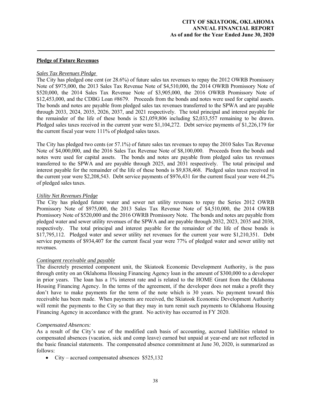#### **Pledge of Future Revenues**

l

#### *Sales Tax Revenues Pledge*

The City has pledged one cent (or 28.6%) of future sales tax revenues to repay the 2012 OWRB Promissory Note of \$975,000, the 2013 Sales Tax Revenue Note of \$4,510,000, the 2014 OWRB Promissory Note of \$520,000, the 2014 Sales Tax Revenue Note of \$3,905,000, the 2016 OWRB Promissory Note of \$12,453,000, and the CDBG Loan #8679. Proceeds from the bonds and notes were used for capital assets. The bonds and notes are payable from pledged sales tax revenues transferred to the SPWA and are payable through 2033, 2024, 2035, 2026, 2037, and 2021 respectively. The total principal and interest payable for the remainder of the life of these bonds is \$21,059,806 including \$2,033,557 remaining to be drawn. Pledged sales taxes received in the current year were \$1,104,272. Debt service payments of \$1,226,179 for the current fiscal year were 111% of pledged sales taxes.

The City has pledged two cents (or 57.1%) of future sales tax revenues to repay the 2010 Sales Tax Revenue Note of \$4,000,000, and the 2016 Sales Tax Revenue Note of \$8,100,000. Proceeds from the bonds and notes were used for capital assets. The bonds and notes are payable from pledged sales tax revenues transferred to the SPWA and are payable through 2025, and 2031 respectively. The total principal and interest payable for the remainder of the life of these bonds is \$9,838,468. Pledged sales taxes received in the current year were \$2,208,543. Debt service payments of \$976,431 for the current fiscal year were 44.2% of pledged sales taxes.

#### *Utility Net Revenues Pledge*

The City has pledged future water and sewer net utility revenues to repay the Series 2012 OWRB Promissory Note of \$975,000, the 2013 Sales Tax Revenue Note of \$4,510,000, the 2014 OWRB Promissory Note of \$520,000 and the 2016 OWRB Promissory Note. The bonds and notes are payable from pledged water and sewer utility revenues of the SPWA and are payable through 2032, 2023, 2035 and 2038, respectively. The total principal and interest payable for the remainder of the life of these bonds is \$17,795,112. Pledged water and sewer utility net revenues for the current year were \$1,210,351. Debt service payments of \$934,407 for the current fiscal year were 77% of pledged water and sewer utility net revenues.

#### *Contingent receivable and payable*

The discretely presented component unit, the Skiatook Economic Development Authority, is the pass through entity on an Oklahoma Housing Financing Agency loan in the amount of \$300,000 to a developer in prior years. The loan has a 1% interest rate and is related to the HOME Grant from the Oklahoma Housing Financing Agency. In the terms of the agreement, if the developer does not make a profit they don't have to make payments for the term of the note which is 30 years. No payment toward this receivable has been made. When payments are received, the Skiatook Economic Development Authority will remit the payments to the City so that they may in turn remit such payments to Oklahoma Housing Financing Agency in accordance with the grant. No activity has occurred in FY 2020.

#### *Compensated Absences:*

As a result of the City's use of the modified cash basis of accounting, accrued liabilities related to compensated absences (vacation, sick and comp leave) earned but unpaid at year-end are not reflected in the basic financial statements. The compensated absence commitment at June 30, 2020, is summarized as follows:

• City – accrued compensated absences  $$525,132$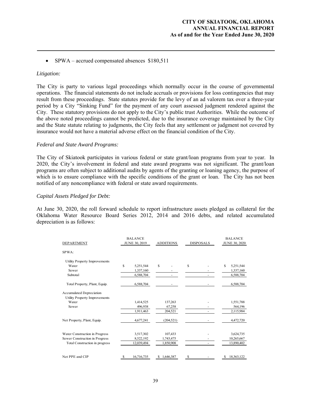• SPWA – accrued compensated absences \$180,511

#### *Litigation:*

l

The City is party to various legal proceedings which normally occur in the course of governmental operations. The financial statements do not include accruals or provisions for loss contingencies that may result from these proceedings. State statutes provide for the levy of an ad valorem tax over a three-year period by a City "Sinking Fund" for the payment of any court assessed judgment rendered against the City. These statutory provisions do not apply to the City's public trust Authorities. While the outcome of the above noted proceedings cannot be predicted, due to the insurance coverage maintained by the City and the State statute relating to judgments, the City feels that any settlement or judgment not covered by insurance would not have a material adverse effect on the financial condition of the City.

#### *Federal and State Award Programs:*

The City of Skiatook participates in various federal or state grant/loan programs from year to year. In 2020, the City's involvement in federal and state award programs was not significant. The grant/loan programs are often subject to additional audits by agents of the granting or loaning agency, the purpose of which is to ensure compliance with the specific conditions of the grant or loan. The City has not been notified of any noncompliance with federal or state award requirements.

#### *Capital Assets Pledged for Debt:*

At June 30, 2020, the roll forward schedule to report infrastructure assets pledged as collateral for the Oklahoma Water Resource Board Series 2012, 2014 and 2016 debts, and related accumulated depreciation is as follows:

| <b>DEPARTMENT</b>              | <b>BALANCE</b><br>JUNE 30, 2019 | <b>ADDITIONS</b> | <b>DISPOSALS</b> | <b>BALANCE</b><br><b>JUNE 30, 2020</b> |
|--------------------------------|---------------------------------|------------------|------------------|----------------------------------------|
| SPWA:                          |                                 |                  |                  |                                        |
| Utility Property Improvements  |                                 |                  |                  |                                        |
| Water                          | \$<br>5,251,544                 | $\mathbf S$      | \$               | S<br>5,251,544                         |
| Sewer                          | 1,337,160                       |                  |                  | 1,337,160                              |
| Subtotal                       | 6,588,704                       |                  |                  | 6,588,704                              |
| Total Property, Plant, Equip.  | 6,588,704                       |                  |                  | 6,588,704                              |
| Accumulated Depreciation       |                                 |                  |                  |                                        |
| Utility Property Improvements  |                                 |                  |                  |                                        |
| Water                          | 1,414,525                       | 137,263          |                  | 1,551,788                              |
| Sewer                          | 496,938                         | 67,258           |                  | 564,196                                |
|                                | 1,911,463                       | 204,521          |                  | 2,115,984                              |
| Net Property, Plant, Equip.    | 4,677,241                       | (204, 521)       |                  | 4,472,720                              |
| Water Construction in Progress | 3,517,302                       | 107,433          |                  | 3,624,735                              |
| Sewer Construction in Progress | 8,522,192                       | 1,743,475        |                  | 10,265,667                             |
| Total Construction in progress | 12,039,494                      | 1,850,908        |                  | 13,890,402                             |
| Net PPE and CIP                | \$<br>16,716,735                | \$1,646,387      | \$               | 18,363,122<br>s                        |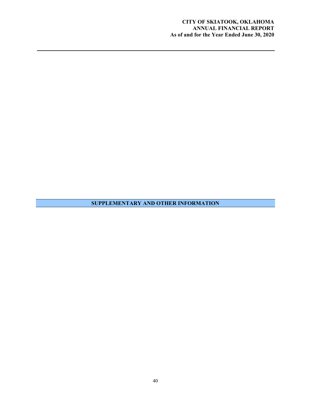**SUPPLEMENTARY AND OTHER INFORMATION**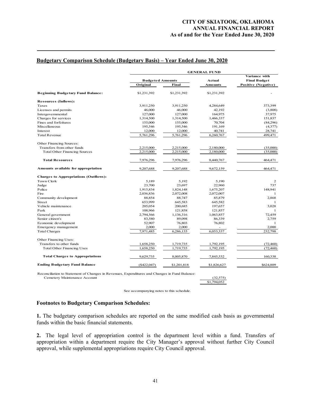#### **Budgetary Comparison Schedule (Budgetary Basis) – Year Ended June 30, 2020**

l

|                                              | <b>GENERAL FUND</b>     |             |                          |                                      |  |
|----------------------------------------------|-------------------------|-------------|--------------------------|--------------------------------------|--|
|                                              | <b>Budgeted Amounts</b> |             | Actual                   | Variance with<br><b>Final Budget</b> |  |
|                                              | Original                | Final       | <b>Amounts</b>           | <b>Positive (Negative)</b>           |  |
| <b>Beginning Budgetary Fund Balance:</b>     | \$1,231,392             | \$1,231,392 | \$1,231,392              |                                      |  |
| <b>Resources (Inflows):</b>                  |                         |             |                          |                                      |  |
| Taxes                                        | 3,911,250               | 3,911,250   | 4,284,649                | 373,399                              |  |
| Licenses and permits                         | 46,000                  | 46,000      | 42,192                   | (3,808)                              |  |
| Intergovernmental                            | 127,000                 | 127,000     | 164,975                  | 37,975                               |  |
| Charges for services                         | 1,314,500               | 1,314,500   | 1,466,337                | 151,837                              |  |
| Fines and forfeitures                        | 155,000                 | 155,000     | 70,704                   | (84,296)                             |  |
| Miscellaneous                                | 195,546                 | 195,546     | 191,169                  | (4,377)                              |  |
| Interest                                     | 12,000                  | 12,000      | 40,741                   | 28,741                               |  |
| <b>Total Revenue</b>                         | 5,761,296               | 5,761,296   | 6,260,767                | 499,471                              |  |
| Other Financing Sources:                     |                         |             |                          |                                      |  |
| Transfers from other funds                   | 2,215,000               | 2,215,000   | 2,180,000                | (35,000)                             |  |
| Total Other Financing Sources                | 2,215,000               | 2,215,000   | 2,180,000                | (35,000)                             |  |
| <b>Total Resources</b>                       | 7,976,296               | 7,976,296   | 8,440,767                | 464,471                              |  |
| Amounts available for appropriation          | 9,207,688               | 9,207,688   | 9,672,159                | 464,471                              |  |
| <b>Charges to Appropriations (Outflows):</b> |                         |             |                          |                                      |  |
| Town Clerk                                   | 5,189                   | 5,192       | 5,190                    | 2                                    |  |
| Judge                                        | 23,700                  | 23,697      | 22,960                   | 737                                  |  |
| Police                                       | 1,915,834               | 1,824,148   | 1,675,207                | 148,941                              |  |
| Fire                                         | 2,036,836               | 2,072,008   | 2,072,007                | -1                                   |  |
| Community development                        | 88,854                  | 88,747      | 85,879                   | 2,868                                |  |
| Street                                       | 653,999                 | 645,583     | 645,582                  |                                      |  |
| Vehicle maintenance                          | 205,054                 | 200,685     | 197,657                  | 3.028                                |  |
| Park                                         | 108,966                 | 121,858     | 121,857                  | $\mathbf{1}$                         |  |
| General government                           | 2,794,566               | 1,136,316   | 1,063,857                | 72,459                               |  |
| Senior citizen's                             | 83,580                  | 89,098      | 86,339                   | 2,759                                |  |
| Economic development                         | 52,907                  | 76,803      | 76,802                   | $\mathbf{1}$                         |  |
| Emergency management                         | 2,000                   | 2,000       | $\overline{\phantom{a}}$ | 2.000                                |  |
| <b>Total Charges</b>                         | 7,971,485               | 6,286,135   | 6,053,337                | 232,798                              |  |
| Other Financing Uses:                        |                         |             |                          |                                      |  |
| Transfers to other funds                     | 1,658,250               | 1,719,735   | 1,792,195                | (72, 460)                            |  |
| <b>Total Other Financing Uses</b>            | 1,658,250               | 1,719,735   | 1,792,195                | (72, 460)                            |  |
| <b>Total Charges to Appropriations</b>       | 9,629,735               | 8,005,870   | 7,845,532                | 160,338                              |  |
| <b>Ending Budgetary Fund Balance</b>         | $(*422,047)$            | \$1,201,818 | \$1,826,627              | \$624,809                            |  |
|                                              |                         |             |                          |                                      |  |

Reconciliation to Statement of Changes in Revenues, Expenditures and Changes in Fund Balance: Cemetery Maintenance Account (32,575)

\$1,794,052

See accompanying notes to this schedule.

#### **Footnotes to Budgetary Comparison Schedules:**

**1.** The budgetary comparison schedules are reported on the same modified cash basis as governmental funds within the basic financial statements.

**2.** The legal level of appropriation control is the department level within a fund. Transfers of appropriation within a department require the City Manager's approval without further City Council approval, while supplemental appropriations require City Council approval.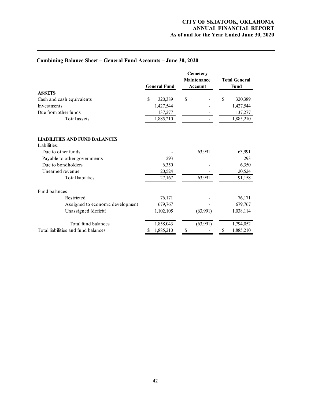## **Combining Balance Sheet – General Fund Accounts – June 30, 2020**

|                                                      | <b>General Fund</b> | <b>Cemetery</b><br><b>Maintenance</b><br><b>Account</b> | <b>Total General</b><br><b>Fund</b> |  |
|------------------------------------------------------|---------------------|---------------------------------------------------------|-------------------------------------|--|
| <b>ASSETS</b>                                        |                     |                                                         |                                     |  |
| Cash and cash equivalents                            | \$<br>320,389       | \$                                                      | \$<br>320,389                       |  |
| Investments                                          | 1,427,544           |                                                         | 1,427,544                           |  |
| Due from other funds                                 | 137,277             |                                                         | 137,277                             |  |
| Total assets                                         | 1,885,210           |                                                         | 1,885,210                           |  |
| <b>LIABILITIES AND FUND BALANCES</b><br>Liabilities: |                     |                                                         |                                     |  |
|                                                      |                     |                                                         |                                     |  |
| Due to other funds                                   |                     | 63,991                                                  | 63,991                              |  |
| Payable to other governments                         | 293                 |                                                         | 293                                 |  |
| Due to bondholders                                   | 6,350               |                                                         | 6,350                               |  |
| Unearned revenue                                     | 20,524              |                                                         | 20,524                              |  |
| <b>Total liabilities</b>                             | 27,167              | 63,991                                                  | 91,158                              |  |
| Fund balances:                                       |                     |                                                         |                                     |  |
| Restricted                                           | 76,171              |                                                         | 76,171                              |  |
| Assigned to economic development                     | 679,767             |                                                         | 679,767                             |  |
| Unassigned (deficit)                                 | 1,102,105           | (63,991)                                                | 1,038,114                           |  |
| Total fund balances                                  | 1,858,043           | (63,991)                                                | 1,794,052                           |  |
| Total liabilities and fund balances                  | 1,885,210<br>\$     | \$                                                      | \$<br>1,885,210                     |  |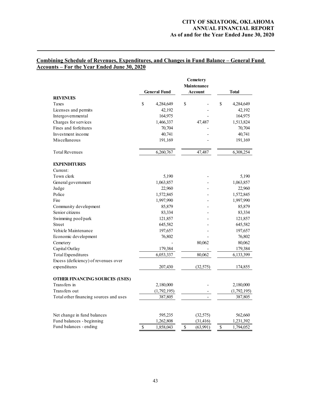## **Combining Schedule of Revenues, Expenditures, and Changes in Fund Balance – General Fund Accounts – For the Year Ended June 30, 2020**

| <b>Total</b><br><b>General Fund</b><br>Account<br><b>REVENUES</b><br>\$<br>\$<br>\$<br>Taxes<br>4,284,649<br>4,284,649<br>Licenses and permits<br>42,192<br>42,192<br>164,975<br>Intergovernmental<br>164,975<br>Charges for services<br>1,466,337<br>47,487<br>1,513,824<br>Fines and forfeitures<br>70,704<br>70,704<br>Investment income<br>40,741<br>40,741<br>Miscellaneous<br>191,169<br>191,169<br>6,308,254<br><b>Total Revenues</b><br>6,260,767<br>47,487<br><b>EXPENDITURES</b><br>Current:<br>Town clerk<br>5,190<br>5,190<br>1,063,857<br>General government<br>1,063,857<br>Judge<br>22,960<br>22,960<br>Police<br>1,572,845<br>1,572,845<br>Fire<br>1,997,990<br>1,997,990<br>Community development<br>85,879<br>85,879<br>Senior citizens<br>83,334<br>83,334<br>Swimming pool/park<br>121,857<br>121,857<br>Street<br>645,582<br>645,582<br>Vehicle Maintenance<br>197,657<br>197,657<br>Economic development<br>76,802<br>76,802<br>Cemetery<br>80,062<br>80,062<br>Capital Outlay<br>179,384<br>179,384<br><b>Total Expenditures</b><br>6,053,337<br>80,062<br>6,133,399<br>Excess (deficiency) of revenues over<br>expenditures<br>207,430<br>(32, 575)<br>174,855<br>OTHER FINANCING SOURCES (USES)<br>Transfers in<br>2,180,000<br>2,180,000<br>Transfers out<br>(1,792,195)<br>(1,792,195)<br>Total other financing sources and uses<br>387,805<br>387,805<br>595,235<br>562,660<br>Net change in fund balances<br>(32, 575)<br>Fund balances - beginning<br>1,262,808<br>(31, 416)<br>1,231,392<br>\$<br>\$<br>\$<br>Fund balances - ending<br>1,858,043<br>(63,991)<br>1,794,052 |  |  | Cemetery<br>Maintenance |  |
|-----------------------------------------------------------------------------------------------------------------------------------------------------------------------------------------------------------------------------------------------------------------------------------------------------------------------------------------------------------------------------------------------------------------------------------------------------------------------------------------------------------------------------------------------------------------------------------------------------------------------------------------------------------------------------------------------------------------------------------------------------------------------------------------------------------------------------------------------------------------------------------------------------------------------------------------------------------------------------------------------------------------------------------------------------------------------------------------------------------------------------------------------------------------------------------------------------------------------------------------------------------------------------------------------------------------------------------------------------------------------------------------------------------------------------------------------------------------------------------------------------------------------------------------------------------------------------------------------------------|--|--|-------------------------|--|
|                                                                                                                                                                                                                                                                                                                                                                                                                                                                                                                                                                                                                                                                                                                                                                                                                                                                                                                                                                                                                                                                                                                                                                                                                                                                                                                                                                                                                                                                                                                                                                                                           |  |  |                         |  |
|                                                                                                                                                                                                                                                                                                                                                                                                                                                                                                                                                                                                                                                                                                                                                                                                                                                                                                                                                                                                                                                                                                                                                                                                                                                                                                                                                                                                                                                                                                                                                                                                           |  |  |                         |  |
|                                                                                                                                                                                                                                                                                                                                                                                                                                                                                                                                                                                                                                                                                                                                                                                                                                                                                                                                                                                                                                                                                                                                                                                                                                                                                                                                                                                                                                                                                                                                                                                                           |  |  |                         |  |
|                                                                                                                                                                                                                                                                                                                                                                                                                                                                                                                                                                                                                                                                                                                                                                                                                                                                                                                                                                                                                                                                                                                                                                                                                                                                                                                                                                                                                                                                                                                                                                                                           |  |  |                         |  |
|                                                                                                                                                                                                                                                                                                                                                                                                                                                                                                                                                                                                                                                                                                                                                                                                                                                                                                                                                                                                                                                                                                                                                                                                                                                                                                                                                                                                                                                                                                                                                                                                           |  |  |                         |  |
|                                                                                                                                                                                                                                                                                                                                                                                                                                                                                                                                                                                                                                                                                                                                                                                                                                                                                                                                                                                                                                                                                                                                                                                                                                                                                                                                                                                                                                                                                                                                                                                                           |  |  |                         |  |
|                                                                                                                                                                                                                                                                                                                                                                                                                                                                                                                                                                                                                                                                                                                                                                                                                                                                                                                                                                                                                                                                                                                                                                                                                                                                                                                                                                                                                                                                                                                                                                                                           |  |  |                         |  |
|                                                                                                                                                                                                                                                                                                                                                                                                                                                                                                                                                                                                                                                                                                                                                                                                                                                                                                                                                                                                                                                                                                                                                                                                                                                                                                                                                                                                                                                                                                                                                                                                           |  |  |                         |  |
|                                                                                                                                                                                                                                                                                                                                                                                                                                                                                                                                                                                                                                                                                                                                                                                                                                                                                                                                                                                                                                                                                                                                                                                                                                                                                                                                                                                                                                                                                                                                                                                                           |  |  |                         |  |
|                                                                                                                                                                                                                                                                                                                                                                                                                                                                                                                                                                                                                                                                                                                                                                                                                                                                                                                                                                                                                                                                                                                                                                                                                                                                                                                                                                                                                                                                                                                                                                                                           |  |  |                         |  |
|                                                                                                                                                                                                                                                                                                                                                                                                                                                                                                                                                                                                                                                                                                                                                                                                                                                                                                                                                                                                                                                                                                                                                                                                                                                                                                                                                                                                                                                                                                                                                                                                           |  |  |                         |  |
|                                                                                                                                                                                                                                                                                                                                                                                                                                                                                                                                                                                                                                                                                                                                                                                                                                                                                                                                                                                                                                                                                                                                                                                                                                                                                                                                                                                                                                                                                                                                                                                                           |  |  |                         |  |
|                                                                                                                                                                                                                                                                                                                                                                                                                                                                                                                                                                                                                                                                                                                                                                                                                                                                                                                                                                                                                                                                                                                                                                                                                                                                                                                                                                                                                                                                                                                                                                                                           |  |  |                         |  |
|                                                                                                                                                                                                                                                                                                                                                                                                                                                                                                                                                                                                                                                                                                                                                                                                                                                                                                                                                                                                                                                                                                                                                                                                                                                                                                                                                                                                                                                                                                                                                                                                           |  |  |                         |  |
|                                                                                                                                                                                                                                                                                                                                                                                                                                                                                                                                                                                                                                                                                                                                                                                                                                                                                                                                                                                                                                                                                                                                                                                                                                                                                                                                                                                                                                                                                                                                                                                                           |  |  |                         |  |
|                                                                                                                                                                                                                                                                                                                                                                                                                                                                                                                                                                                                                                                                                                                                                                                                                                                                                                                                                                                                                                                                                                                                                                                                                                                                                                                                                                                                                                                                                                                                                                                                           |  |  |                         |  |
|                                                                                                                                                                                                                                                                                                                                                                                                                                                                                                                                                                                                                                                                                                                                                                                                                                                                                                                                                                                                                                                                                                                                                                                                                                                                                                                                                                                                                                                                                                                                                                                                           |  |  |                         |  |
|                                                                                                                                                                                                                                                                                                                                                                                                                                                                                                                                                                                                                                                                                                                                                                                                                                                                                                                                                                                                                                                                                                                                                                                                                                                                                                                                                                                                                                                                                                                                                                                                           |  |  |                         |  |
|                                                                                                                                                                                                                                                                                                                                                                                                                                                                                                                                                                                                                                                                                                                                                                                                                                                                                                                                                                                                                                                                                                                                                                                                                                                                                                                                                                                                                                                                                                                                                                                                           |  |  |                         |  |
|                                                                                                                                                                                                                                                                                                                                                                                                                                                                                                                                                                                                                                                                                                                                                                                                                                                                                                                                                                                                                                                                                                                                                                                                                                                                                                                                                                                                                                                                                                                                                                                                           |  |  |                         |  |
|                                                                                                                                                                                                                                                                                                                                                                                                                                                                                                                                                                                                                                                                                                                                                                                                                                                                                                                                                                                                                                                                                                                                                                                                                                                                                                                                                                                                                                                                                                                                                                                                           |  |  |                         |  |
|                                                                                                                                                                                                                                                                                                                                                                                                                                                                                                                                                                                                                                                                                                                                                                                                                                                                                                                                                                                                                                                                                                                                                                                                                                                                                                                                                                                                                                                                                                                                                                                                           |  |  |                         |  |
|                                                                                                                                                                                                                                                                                                                                                                                                                                                                                                                                                                                                                                                                                                                                                                                                                                                                                                                                                                                                                                                                                                                                                                                                                                                                                                                                                                                                                                                                                                                                                                                                           |  |  |                         |  |
|                                                                                                                                                                                                                                                                                                                                                                                                                                                                                                                                                                                                                                                                                                                                                                                                                                                                                                                                                                                                                                                                                                                                                                                                                                                                                                                                                                                                                                                                                                                                                                                                           |  |  |                         |  |
|                                                                                                                                                                                                                                                                                                                                                                                                                                                                                                                                                                                                                                                                                                                                                                                                                                                                                                                                                                                                                                                                                                                                                                                                                                                                                                                                                                                                                                                                                                                                                                                                           |  |  |                         |  |
|                                                                                                                                                                                                                                                                                                                                                                                                                                                                                                                                                                                                                                                                                                                                                                                                                                                                                                                                                                                                                                                                                                                                                                                                                                                                                                                                                                                                                                                                                                                                                                                                           |  |  |                         |  |
|                                                                                                                                                                                                                                                                                                                                                                                                                                                                                                                                                                                                                                                                                                                                                                                                                                                                                                                                                                                                                                                                                                                                                                                                                                                                                                                                                                                                                                                                                                                                                                                                           |  |  |                         |  |
|                                                                                                                                                                                                                                                                                                                                                                                                                                                                                                                                                                                                                                                                                                                                                                                                                                                                                                                                                                                                                                                                                                                                                                                                                                                                                                                                                                                                                                                                                                                                                                                                           |  |  |                         |  |
|                                                                                                                                                                                                                                                                                                                                                                                                                                                                                                                                                                                                                                                                                                                                                                                                                                                                                                                                                                                                                                                                                                                                                                                                                                                                                                                                                                                                                                                                                                                                                                                                           |  |  |                         |  |
|                                                                                                                                                                                                                                                                                                                                                                                                                                                                                                                                                                                                                                                                                                                                                                                                                                                                                                                                                                                                                                                                                                                                                                                                                                                                                                                                                                                                                                                                                                                                                                                                           |  |  |                         |  |
|                                                                                                                                                                                                                                                                                                                                                                                                                                                                                                                                                                                                                                                                                                                                                                                                                                                                                                                                                                                                                                                                                                                                                                                                                                                                                                                                                                                                                                                                                                                                                                                                           |  |  |                         |  |
|                                                                                                                                                                                                                                                                                                                                                                                                                                                                                                                                                                                                                                                                                                                                                                                                                                                                                                                                                                                                                                                                                                                                                                                                                                                                                                                                                                                                                                                                                                                                                                                                           |  |  |                         |  |
|                                                                                                                                                                                                                                                                                                                                                                                                                                                                                                                                                                                                                                                                                                                                                                                                                                                                                                                                                                                                                                                                                                                                                                                                                                                                                                                                                                                                                                                                                                                                                                                                           |  |  |                         |  |
|                                                                                                                                                                                                                                                                                                                                                                                                                                                                                                                                                                                                                                                                                                                                                                                                                                                                                                                                                                                                                                                                                                                                                                                                                                                                                                                                                                                                                                                                                                                                                                                                           |  |  |                         |  |
|                                                                                                                                                                                                                                                                                                                                                                                                                                                                                                                                                                                                                                                                                                                                                                                                                                                                                                                                                                                                                                                                                                                                                                                                                                                                                                                                                                                                                                                                                                                                                                                                           |  |  |                         |  |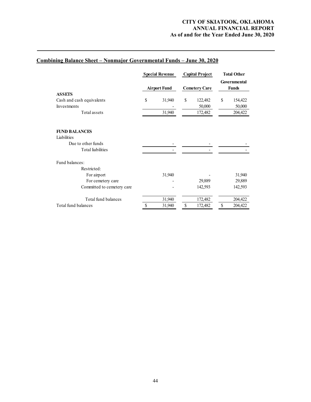## **Combining Balance Sheet – Nonmajor Governmental Funds – June 30, 2020**

|                                                                                | <b>Special Revenue</b> | <b>Capital Project</b>             | <b>Total Other</b>                 |
|--------------------------------------------------------------------------------|------------------------|------------------------------------|------------------------------------|
| <b>ASSETS</b>                                                                  | <b>Airport Fund</b>    | <b>Cemetery Care</b>               | Governmental<br><b>Funds</b>       |
| Cash and cash equivalents<br>Investments<br>Total assets                       | \$<br>31,940<br>31,940 | \$<br>122,482<br>50,000<br>172,482 | \$<br>154,422<br>50,000<br>204,422 |
| <b>FUND BALANCES</b><br>Liabilities<br>Due to other funds<br>Total liabilities |                        |                                    |                                    |
| Fund balances:                                                                 |                        |                                    |                                    |
| Restricted:<br>For airport<br>For cemetery care<br>Committed to cemetery care  | 31,940                 | 29,889<br>142,593                  | 31,940<br>29,889<br>142,593        |
| Total fund balances<br>Total fund balances                                     | \$<br>31,940<br>31,940 | \$<br>172,482<br>172,482           | \$<br>204,422<br>204,422           |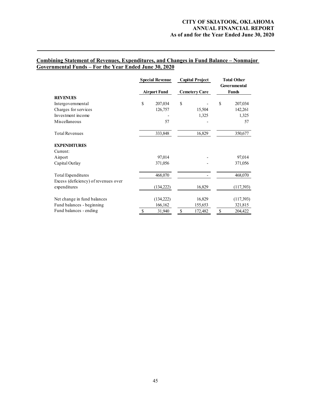## **Combining Statement of Revenues, Expenditures, and Changes in Fund Balance – Nonmajor Governmental Funds – For the Year Ended June 30, 2020**

|                                      | <b>Special Revenue</b> | <b>Capital Project</b> | <b>Total Other</b><br>Governmental |
|--------------------------------------|------------------------|------------------------|------------------------------------|
|                                      | <b>Airport Fund</b>    | <b>Cemetery Care</b>   | <b>Funds</b>                       |
| <b>REVENUES</b>                      |                        |                        |                                    |
| Intergovernmental                    | \$<br>207,034          | \$                     | \$<br>207,034                      |
| Charges for services                 | 126,757                | 15,504                 | 142,261                            |
| Investment income                    |                        | 1,325                  | 1,325                              |
| Miscellaneous                        | 57                     |                        | 57                                 |
| <b>Total Revenues</b>                | 333,848                | 16,829                 | 350,677                            |
| <b>EXPENDITURES</b>                  |                        |                        |                                    |
| Current:                             |                        |                        |                                    |
| Airport                              | 97,014                 |                        | 97,014                             |
| Capital Outlay                       | 371,056                |                        | 371,056                            |
| Total Expenditures                   | 468,070                |                        | 468,070                            |
| Excess (deficiency) of revenues over |                        |                        |                                    |
| expenditures                         | (134, 222)             | 16,829                 | (117,393)                          |
| Net change in fund balances          | (134, 222)             | 16,829                 | (117,393)                          |
| Fund balances - beginning            | 166,162                | 155,653                | 321,815                            |
| Fund balances - ending               | \$<br>31,940           | \$<br>172,482          | \$<br>204,422                      |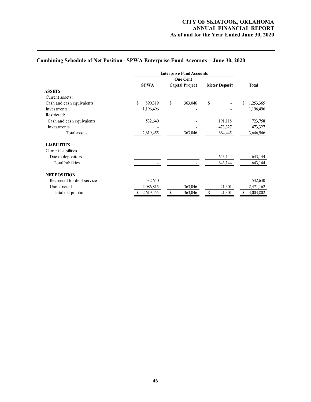## **Combining Schedule of Net Position– SPWA Enterprise Fund Accounts – June 30, 2020**

| <b>Enterprise Fund Accounts</b> |                |                        |                      |                 |
|---------------------------------|----------------|------------------------|----------------------|-----------------|
|                                 |                | <b>One Cent</b>        |                      |                 |
|                                 | <b>SPWA</b>    | <b>Capital Project</b> | <b>Meter Deposit</b> | Total           |
| <b>ASSETS</b>                   |                |                        |                      |                 |
| Current assets:                 |                |                        |                      |                 |
| Cash and cash equivalents       | \$<br>890,319  | \$<br>363,046          | \$<br>$\overline{a}$ | S<br>1,253,365  |
| Investments                     | 1,196,496      |                        |                      | 1,196,496       |
| Restricted:                     |                |                        |                      |                 |
| Cash and cash equivalents       | 532,640        |                        | 191,118              | 723,758         |
| Investments                     |                |                        | 473,327              | 473,327         |
| Total assets                    | 2,619,455      | 363,046                | 664,445              | 3,646,946       |
| <b>LIABILITIES</b>              |                |                        |                      |                 |
| <b>Current Liabilities:</b>     |                |                        |                      |                 |
| Due to depositors               |                |                        | 643,144              | 643,144         |
| <b>Total</b> liabilities        |                |                        | 643,144              | 643,144         |
| <b>NET POSITION</b>             |                |                        |                      |                 |
| Restricted for debt service     | 532,640        |                        |                      | 532,640         |
| Unrestricted                    | 2,086,815      | 363,046                | 21,301               | 2,471,162       |
| Total net position              | 2,619,455<br>S | \$<br>363,046          | \$<br>21,301         | \$<br>3,003,802 |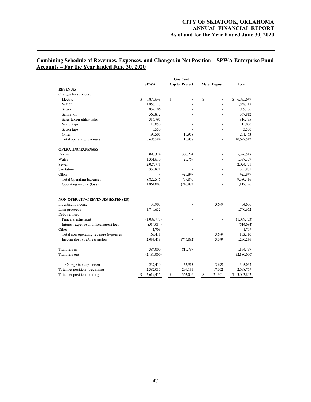## **Combining Schedule of Revenues, Expenses, and Changes in Net Position – SPWA Enterprise Fund Accounts – For the Year Ended June 30, 2020**

|                                          |                | <b>One Cent</b>        |                          |                 |
|------------------------------------------|----------------|------------------------|--------------------------|-----------------|
|                                          | <b>SPWA</b>    | <b>Capital Project</b> | <b>Meter Deposit</b>     | Total           |
| <b>REVENUES</b>                          |                |                        |                          |                 |
| Charges for services:                    |                |                        |                          |                 |
| Electric                                 | S<br>6,875,649 | \$                     | \$                       | 6,875,649<br>\$ |
| Water                                    | 1,858,117      |                        |                          | 1,858,117       |
| Sewer                                    | 859,106        |                        |                          | 859,106         |
| Sanitation                               | 567,812        |                        |                          | 567,812         |
| Sales tax on utility sales               | 316,795        |                        |                          | 316,795         |
| Water taps                               | 15,050         |                        |                          | 15,050          |
| Sewer taps                               | 3,550          |                        |                          | 3,550           |
| Other                                    | 190,505        | 10,958                 |                          | 201,463         |
| Total operating revenues                 | 10,686,584     | 10,958                 |                          | 10,697,542      |
| <b>OPERATING EXPENSES</b>                |                |                        |                          |                 |
| Electric                                 | 5,090,324      | 306,224                |                          | 5,396,548       |
| Water                                    | 1,351,610      | 25,769                 |                          | 1,377,379       |
| Sewer                                    | 2,024,771      |                        |                          | 2,024,771       |
| Sanitation                               | 355,871        |                        |                          | 355,871         |
| Other                                    |                | 425,847                |                          | 425,847         |
| <b>Total Operating Expenses</b>          | 8,822,576      | 757,840                | $\overline{\phantom{a}}$ | 9,580,416       |
| Operating income (loss)                  | 1,864,008      | (746, 882)             |                          | 1,117,126       |
|                                          |                |                        |                          |                 |
| <b>NON-OPERATING REVENUES (EXPENSES)</b> |                |                        |                          |                 |
| Investment income                        | 30,907         |                        | 3,699                    | 34,606          |
| Loan proceeds                            | 1,740,652      |                        |                          | 1,740,652       |
| Debt service:                            |                |                        |                          |                 |
| Principal retirement                     | (1,089,773)    |                        |                          | (1,089,773)     |
| Interest expense and fiscal agent fees   | (514,084)      |                        |                          | (514,084)       |
| Other                                    | 1,709          |                        |                          | 1,709           |
| Total non-operating revenue (expenses)   | 169,411        |                        | 3,699                    | 173,110         |
| Income (loss) before transfers           | 2,033,419      | (746, 882)             | 3,699                    | 1,290,236       |
| Transfers in                             | 384,000        | 810,797                |                          | 1,194,797       |
| Transfers out                            | (2,180,000)    |                        |                          | (2,180,000)     |
| Change in net position                   | 237,419        | 63,915                 | 3,699                    | 305,033         |
| Total net position - beginning           | 2,382,036      | 299,131                | 17,602                   | 2,698,769       |
| Total net position - ending              | S<br>2,619,455 | \$<br>363,046          | \$<br>21,301             | \$<br>3,003,802 |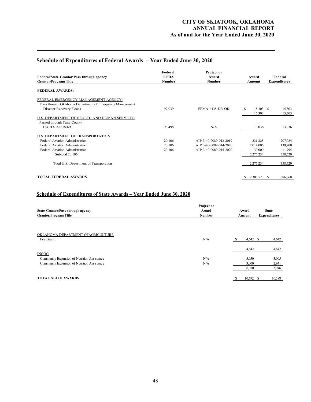## **Schedule of Expenditures of Federal Awards – Year Ended June 30, 2020**

l

| Federal/State Grantor/Pass through agency                | Federal<br><b>CFDA</b> | Project or<br>Award    | Award             | Federal             |
|----------------------------------------------------------|------------------------|------------------------|-------------------|---------------------|
| <b>Grantor/Program Title</b>                             | <b>Number</b>          | Number                 | Amount            | <b>Expenditures</b> |
|                                                          |                        |                        |                   |                     |
| <b>FEDERAL AWARDS:</b>                                   |                        |                        |                   |                     |
| FEDERAL EMERGENCY MANAGEMENT AGENCY:                     |                        |                        |                   |                     |
| Pass through Oklahoma Department of Emergency Management |                        |                        |                   |                     |
| Disaster Recovery Floods                                 | 97.039                 | <b>FEMA-4438-DR-OK</b> | 15,303 \$<br>-S   | 15,303              |
|                                                          |                        |                        | 15,303            | 15,303              |
| U.S. DEPARTMENT OF HEALTH AND HUMAN SERVICES:            |                        |                        |                   |                     |
| Passed through Tulsa County                              |                        |                        |                   |                     |
| <b>CARES</b> Act Relief                                  | 93.498                 | N/A                    | 13,036            | 13,036              |
| U.S. DEPARTMENT OF TRANSPORTATION                        |                        |                        |                   |                     |
| Federal Aviation Administration                          | 20.106                 | AIP 3-40-0089-013-2019 | 231,228           | 207,034             |
| Federal Aviation Administration                          | 20.106                 | AIP 3-40-0089-014-2020 | 2,014,006         | 139,700             |
| Federal Aviation Administration                          | 20.106                 | AIP 3-40-0089-015-2020 | 30,000            | 11,795              |
| Subtotal 20.106                                          |                        |                        | 2,275,234         | 358,529             |
| Total U.S. Department of Transporation                   |                        |                        | 2,275,234         | 358,529             |
| <b>TOTAL FEDERAL AWARDS</b>                              |                        |                        | 2,303,573 \$<br>S | 386,868             |

#### **Schedule of Expenditures of State Awards – Year Ended June 30, 2020**

| State Grantor/Pass through agency<br><b>Grantor/Program Title</b> | Project or<br>Award<br><b>Number</b> | Award<br>Amount   | <b>State</b><br><b>Expenditures</b> |
|-------------------------------------------------------------------|--------------------------------------|-------------------|-------------------------------------|
| OKLAHOMA DEPARTMENT OFAGRICULTURE<br>Fire Grant                   | N/A                                  | $4,642$ \$<br>\$. | 4,642                               |
| INCOG:                                                            |                                      | 4,642             | 4,642                               |
| Community Expansion of Nutrition Assistance                       | N/A                                  | 3,050             | 3,005                               |
| Community Expansion of Nutrition Assistance                       | N/A                                  | 3,000             | 2,941                               |
|                                                                   |                                      | 6,050             | 5,946                               |
| <b>TOTAL STATE AWARDS</b>                                         |                                      | $10,692$ \$<br>S  | 10,588                              |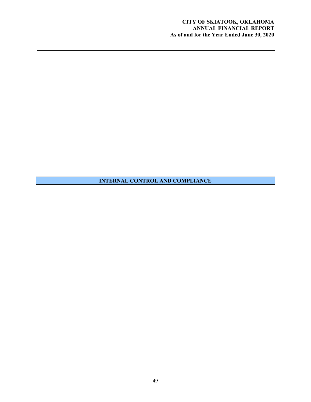**INTERNAL CONTROL AND COMPLIANCE**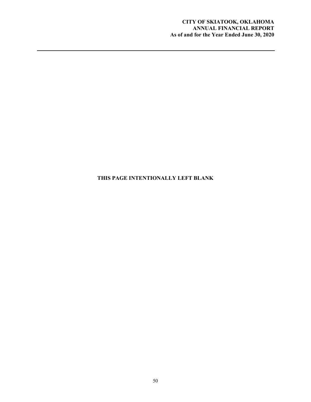## **THIS PAGE INTENTIONALLY LEFT BLANK**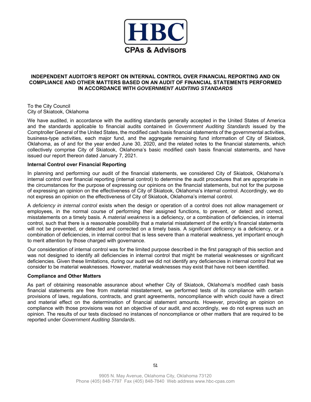

#### **INDEPENDENT AUDITOR'S REPORT ON INTERNAL CONTROL OVER FINANCIAL REPORTING AND ON COMPLIANCE AND OTHER MATTERS BASED ON AN AUDIT OF FINANCIAL STATEMENTS PERFORMED IN ACCORDANCE WITH** *GOVERNMENT AUDITING STANDARDS*

To the City Council City of Skiatook, Oklahoma

We have audited, in accordance with the auditing standards generally accepted in the United States of America and the standards applicable to financial audits contained in *Government Auditing Standards* issued by the Comptroller General of the United States, the modified cash basis financial statements of the governmental activities, business-type activities, each major fund, and the aggregate remaining fund information of City of Skiatook, Oklahoma, as of and for the year ended June 30, 2020, and the related notes to the financial statements, which collectively comprise City of Skiatook, Oklahoma's basic modified cash basis financial statements, and have issued our report thereon dated January 7, 2021.

#### **Internal Control over Financial Reporting**

In planning and performing our audit of the financial statements, we considered City of Skiatook, Oklahoma's internal control over financial reporting (internal control) to determine the audit procedures that are appropriate in the circumstances for the purpose of expressing our opinions on the financial statements, but not for the purpose of expressing an opinion on the effectiveness of City of Skiatook, Oklahoma's internal control. Accordingly, we do not express an opinion on the effectiveness of City of Skiatook, Oklahoma's internal control.

A *deficiency in internal control* exists when the design or operation of a control does not allow management or employees, in the normal course of performing their assigned functions, to prevent, or detect and correct, misstatements on a timely basis. A *material weakness* is a deficiency, or a combination of deficiencies, in internal control, such that there is a reasonable possibility that a material misstatement of the entity's financial statements will not be prevented, or detected and corrected on a timely basis. A *significant deficiency* is a deficiency, or a combination of deficiencies, in internal control that is less severe than a material weakness, yet important enough to merit attention by those charged with governance.

Our consideration of internal control was for the limited purpose described in the first paragraph of this section and was not designed to identify all deficiencies in internal control that might be material weaknesses or significant deficiencies. Given these limitations, during our audit we did not identify any deficiencies in internal control that we consider to be material weaknesses. However, material weaknesses may exist that have not been identified.

#### **Compliance and Other Matters**

As part of obtaining reasonable assurance about whether City of Skiatook, Oklahoma's modified cash basis financial statements are free from material misstatement, we performed tests of its compliance with certain provisions of laws, regulations, contracts, and grant agreements, noncompliance with which could have a direct and material effect on the determination of financial statement amounts. However, providing an opinion on compliance with those provisions was not an objective of our audit, and accordingly, we do not express such an opinion. The results of our tests disclosed no instances of noncompliance or other matters that are required to be reported under *Government Auditing Standards*.